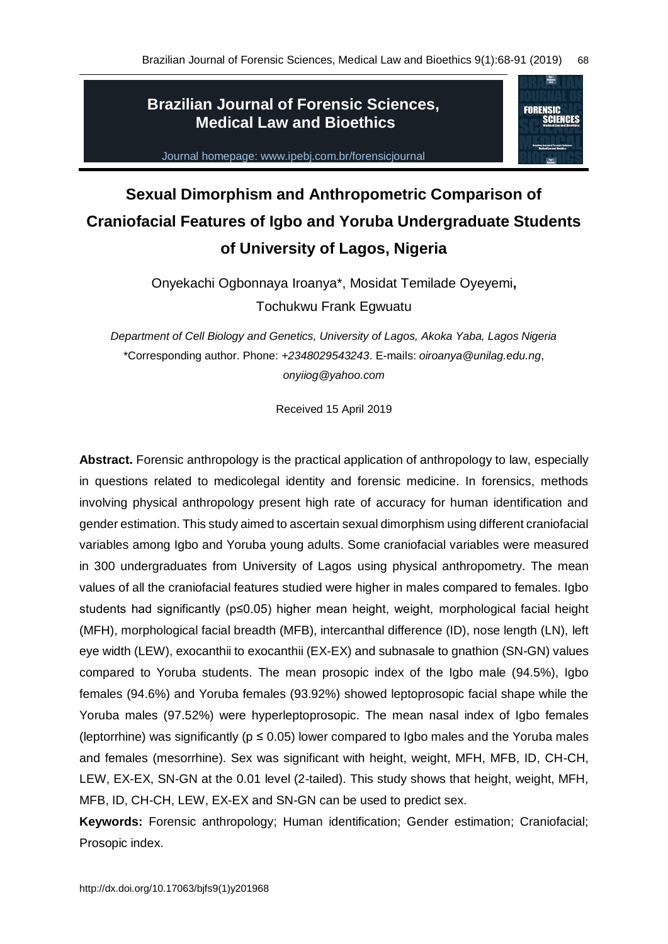**FORENSIC** 

## **Brazilian Journal of Forensic Sciences, Medical Law and Bioethics**

Journal homepage: www.ipebj.com.br/forensicjournal

# **Sexual Dimorphism and Anthropometric Comparison of Craniofacial Features of Igbo and Yoruba Undergraduate Students of University of Lagos, Nigeria**

Onyekachi Ogbonnaya Iroanya\*, Mosidat Temilade Oyeyemi**,**  Tochukwu Frank Egwuatu

*Department of Cell Biology and Genetics, University of Lagos, Akoka Yaba, Lagos Nigeria* \*Corresponding author. Phone: *+2348029543243*. E-mails: *oiroanya@unilag.edu.ng*, *onyiiog@yahoo.com*

Received 15 April 2019

**Abstract.** Forensic anthropology is the practical application of anthropology to law, especially in questions related to medicolegal identity and forensic medicine. In forensics, methods involving physical anthropology present high rate of accuracy for human identification and gender estimation. This study aimed to ascertain sexual dimorphism using different craniofacial variables among Igbo and Yoruba young adults. Some craniofacial variables were measured in 300 undergraduates from University of Lagos using physical anthropometry. The mean values of all the craniofacial features studied were higher in males compared to females. Igbo students had significantly (p≤0.05) higher mean height, weight, morphological facial height (MFH), morphological facial breadth (MFB), intercanthal difference (ID), nose length (LN), left eye width (LEW), exocanthii to exocanthii (EX-EX) and subnasale to gnathion (SN-GN) values compared to Yoruba students. The mean prosopic index of the Igbo male (94.5%), Igbo females (94.6%) and Yoruba females (93.92%) showed leptoprosopic facial shape while the Yoruba males (97.52%) were hyperleptoprosopic. The mean nasal index of Igbo females (leptorrhine) was significantly ( $p \le 0.05$ ) lower compared to Igbo males and the Yoruba males and females (mesorrhine). Sex was significant with height, weight, MFH, MFB, ID, CH-CH, LEW, EX-EX, SN-GN at the 0.01 level (2-tailed). This study shows that height, weight, MFH, MFB, ID, CH-CH, LEW, EX-EX and SN-GN can be used to predict sex.

**Keywords:** Forensic anthropology; Human identification; Gender estimation; Craniofacial; Prosopic index.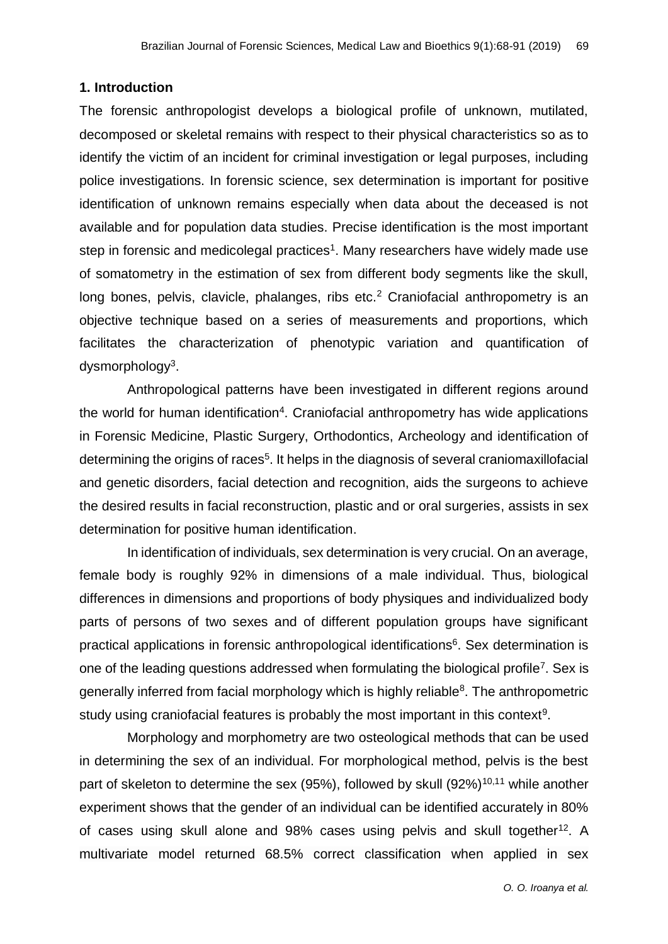#### **1. Introduction**

The forensic anthropologist develops a biological profile of unknown, mutilated, decomposed or skeletal remains with respect to their physical characteristics so as to identify the victim of an incident for criminal investigation or legal purposes, including police investigations. In forensic science, sex determination is important for positive identification of unknown remains especially when data about the deceased is not available and for population data studies. Precise identification is the most important step in forensic and medicolegal practices<sup>1</sup>. Many researchers have widely made use of somatometry in the estimation of sex from different body segments like the skull, long bones, pelvis, clavicle, phalanges, ribs etc.<sup>2</sup> Craniofacial anthropometry is an objective technique based on a series of measurements and proportions, which facilitates the characterization of phenotypic variation and quantification of dysmorphology<sup>3</sup>.

Anthropological patterns have been investigated in different regions around the world for human identification<sup>4</sup>. Craniofacial anthropometry has wide applications in Forensic Medicine, Plastic Surgery, Orthodontics, Archeology and identification of determining the origins of races<sup>5</sup>. It helps in the diagnosis of several craniomaxillofacial and genetic disorders, facial detection and recognition, aids the surgeons to achieve the desired results in facial reconstruction, plastic and or oral surgeries, assists in sex determination for positive human identification.

In identification of individuals, sex determination is very crucial. On an average, female body is roughly 92% in dimensions of a male individual. Thus, biological differences in dimensions and proportions of body physiques and individualized body parts of persons of two sexes and of different population groups have significant practical applications in forensic anthropological identifications<sup>6</sup>. Sex determination is one of the leading questions addressed when formulating the biological profile<sup>7</sup>. Sex is generally inferred from facial morphology which is highly reliable<sup>8</sup>. The anthropometric study using craniofacial features is probably the most important in this context<sup>9</sup>.

Morphology and morphometry are two osteological methods that can be used in determining the sex of an individual. For morphological method, pelvis is the best part of skeleton to determine the sex (95%), followed by skull  $(92\%)^{10,11}$  while another experiment shows that the gender of an individual can be identified accurately in 80% of cases using skull alone and 98% cases using pelvis and skull together<sup>12</sup>. A multivariate model returned 68.5% correct classification when applied in sex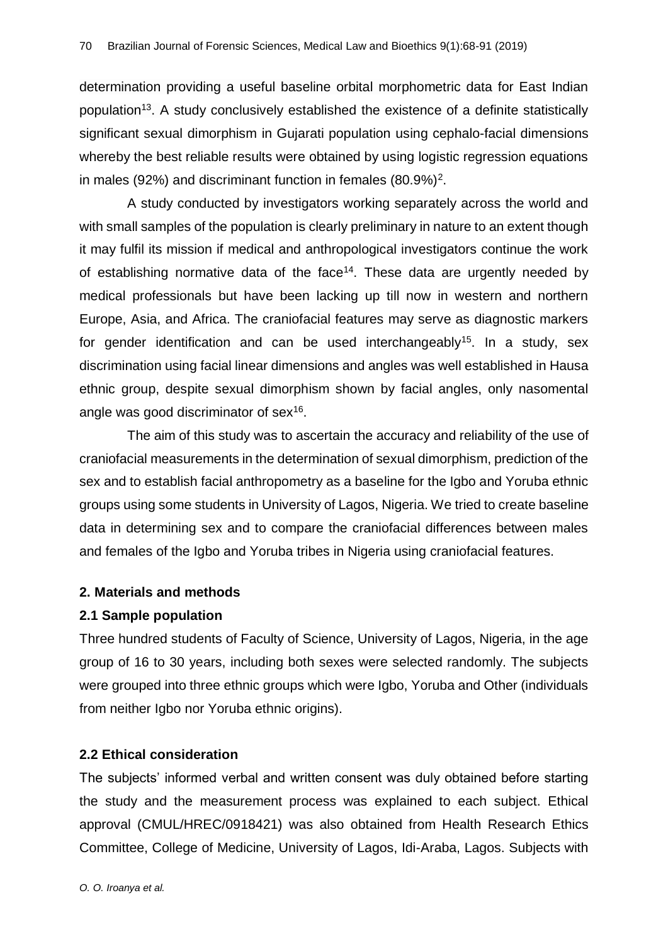determination providing a useful baseline orbital morphometric data for East Indian population<sup>13</sup>. A study conclusively established the existence of a definite statistically significant sexual dimorphism in Gujarati population using cephalo-facial dimensions whereby the best reliable results were obtained by using logistic regression equations in males (92%) and discriminant function in females  $(80.9\%)^2$ .

A study conducted by investigators working separately across the world and with small samples of the population is clearly preliminary in nature to an extent though it may fulfil its mission if medical and anthropological investigators continue the work of establishing normative data of the face<sup>14</sup>. These data are urgently needed by medical professionals but have been lacking up till now in western and northern Europe, Asia, and Africa. The craniofacial features may serve as diagnostic markers for gender identification and can be used interchangeably<sup>15</sup>. In a study, sex discrimination using facial linear dimensions and angles was well established in Hausa ethnic group, despite sexual dimorphism shown by facial angles, only nasomental angle was good discriminator of sex<sup>16</sup>.

The aim of this study was to ascertain the accuracy and reliability of the use of craniofacial measurements in the determination of sexual dimorphism, prediction of the sex and to establish facial anthropometry as a baseline for the Igbo and Yoruba ethnic groups using some students in University of Lagos, Nigeria. We tried to create baseline data in determining sex and to compare the craniofacial differences between males and females of the Igbo and Yoruba tribes in Nigeria using craniofacial features.

#### **2. Materials and methods**

#### **2.1 Sample population**

Three hundred students of Faculty of Science, University of Lagos, Nigeria, in the age group of 16 to 30 years, including both sexes were selected randomly. The subjects were grouped into three ethnic groups which were Igbo, Yoruba and Other (individuals from neither Igbo nor Yoruba ethnic origins).

## **2.2 Ethical consideration**

The subjects' informed verbal and written consent was duly obtained before starting the study and the measurement process was explained to each subject. Ethical approval (CMUL/HREC/0918421) was also obtained from Health Research Ethics Committee, College of Medicine, University of Lagos, Idi-Araba, Lagos. Subjects with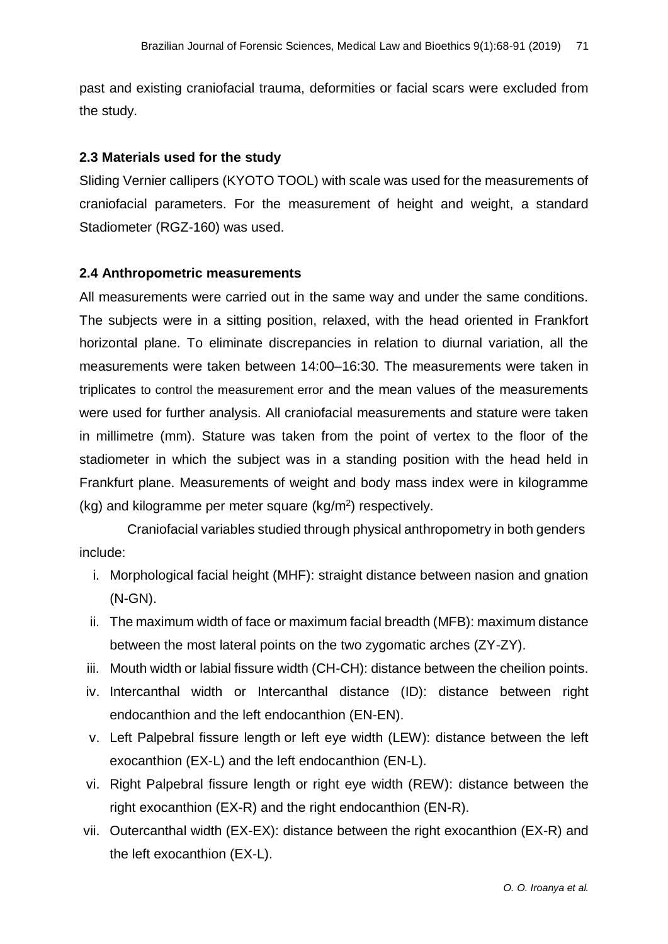past and existing craniofacial trauma, deformities or facial scars were excluded from the study.

#### **2.3 Materials used for the study**

Sliding Vernier callipers (KYOTO TOOL) with scale was used for the measurements of craniofacial parameters. For the measurement of height and weight, a standard Stadiometer (RGZ-160) was used.

#### **2.4 Anthropometric measurements**

All measurements were carried out in the same way and under the same conditions. The subjects were in a sitting position, relaxed, with the head oriented in Frankfort horizontal plane. To eliminate discrepancies in relation to diurnal variation, all the measurements were taken between 14:00–16:30. The measurements were taken in triplicates to control the measurement error and the mean values of the measurements were used for further analysis. All craniofacial measurements and stature were taken in millimetre (mm). Stature was taken from the point of vertex to the floor of the stadiometer in which the subject was in a standing position with the head held in Frankfurt plane. Measurements of weight and body mass index were in kilogramme (kg) and kilogramme per meter square (kg/m<sup>2</sup>) respectively.

Craniofacial variables studied through physical anthropometry in both genders include:

- i. Morphological facial height (MHF): straight distance between nasion and gnation (N-GN).
- ii. The maximum width of face or maximum facial breadth (MFB): maximum distance between the most lateral points on the two zygomatic arches (ZY-ZY).
- iii. Mouth width or labial fissure width (CH-CH): distance between the cheilion points.
- iv. Intercanthal width or Intercanthal distance (ID): distance between right endocanthion and the left endocanthion (EN-EN).
- v. Left Palpebral fissure length or left eye width (LEW): distance between the left exocanthion (EX-L) and the left endocanthion (EN-L).
- vi. Right Palpebral fissure length or right eye width (REW): distance between the right exocanthion (EX-R) and the right endocanthion (EN-R).
- vii. Outercanthal width (EX-EX): distance between the right exocanthion (EX-R) and the left exocanthion (EX-L).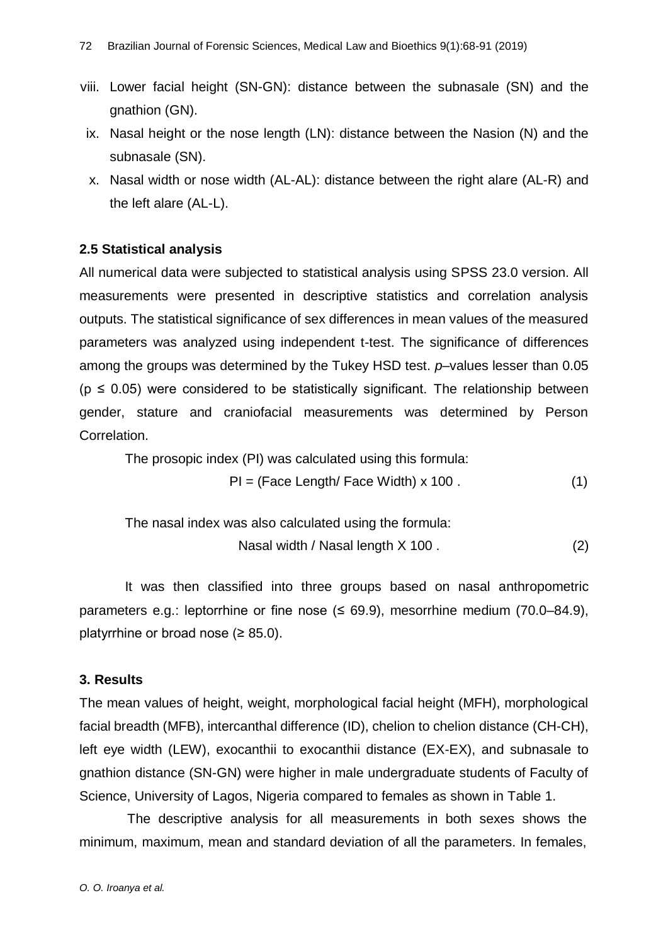- viii. Lower facial height (SN-GN): distance between the subnasale (SN) and the gnathion (GN).
	- ix. Nasal height or the nose length (LN): distance between the Nasion (N) and the subnasale (SN).
	- x. Nasal width or nose width (AL-AL): distance between the right alare (AL-R) and the left alare (AL-L).

## **2.5 Statistical analysis**

All numerical data were subjected to statistical analysis using SPSS 23.0 version. All measurements were presented in descriptive statistics and correlation analysis outputs. The statistical significance of sex differences in mean values of the measured parameters was analyzed using independent t-test. The significance of differences among the groups was determined by the Tukey HSD test. *p*–values lesser than 0.05  $(p \le 0.05)$  were considered to be statistically significant. The relationship between gender, stature and craniofacial measurements was determined by Person Correlation.

The prosopic index (PI) was calculated using this formula:

$$
PI = (Face Length / Face Width) \times 100.
$$
 (1)

The nasal index was also calculated using the formula:

Nasal width / Nasal length X 100 . (2)

It was then classified into three groups based on nasal anthropometric parameters e.g.: leptorrhine or fine nose  $($  ≤ 69.9), mesorrhine medium  $(70.0-84.9)$ , platyrrhine or broad nose  $(≥ 85.0)$ .

#### **3. Results**

The mean values of height, weight, morphological facial height (MFH), morphological facial breadth (MFB), intercanthal difference (ID), chelion to chelion distance (CH-CH), left eye width (LEW), exocanthii to exocanthii distance (EX-EX), and subnasale to gnathion distance (SN-GN) were higher in male undergraduate students of Faculty of Science, University of Lagos, Nigeria compared to females as shown in Table 1.

The descriptive analysis for all measurements in both sexes shows the minimum, maximum, mean and standard deviation of all the parameters. In females,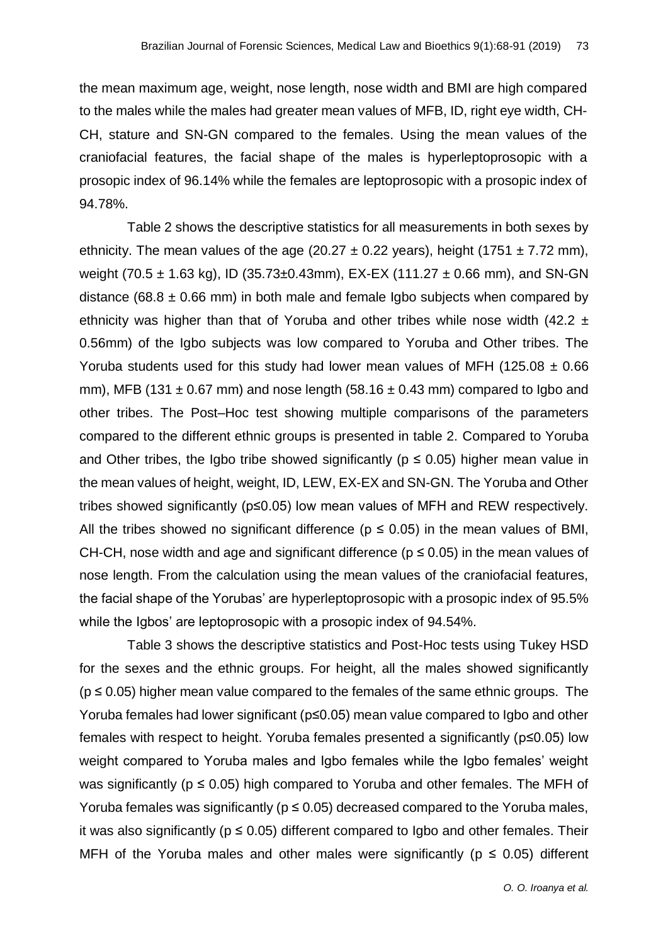the mean maximum age, weight, nose length, nose width and BMI are high compared to the males while the males had greater mean values of MFB, ID, right eye width, CH-CH, stature and SN-GN compared to the females. Using the mean values of the craniofacial features, the facial shape of the males is hyperleptoprosopic with a prosopic index of 96.14% while the females are leptoprosopic with a prosopic index of 94.78%.

Table 2 shows the descriptive statistics for all measurements in both sexes by ethnicity. The mean values of the age (20.27  $\pm$  0.22 years), height (1751  $\pm$  7.72 mm), weight (70.5  $\pm$  1.63 kg), ID (35.73 $\pm$ 0.43mm), EX-EX (111.27  $\pm$  0.66 mm), and SN-GN distance (68.8  $\pm$  0.66 mm) in both male and female Igbo subjects when compared by ethnicity was higher than that of Yoruba and other tribes while nose width  $(42.2 \pm 1)$ 0.56mm) of the Igbo subjects was low compared to Yoruba and Other tribes. The Yoruba students used for this study had lower mean values of MFH (125.08  $\pm$  0.66 mm), MFB (131  $\pm$  0.67 mm) and nose length (58.16  $\pm$  0.43 mm) compared to Igbo and other tribes. The Post–Hoc test showing multiple comparisons of the parameters compared to the different ethnic groups is presented in table 2. Compared to Yoruba and Other tribes, the Igbo tribe showed significantly ( $p \le 0.05$ ) higher mean value in the mean values of height, weight, ID, LEW, EX-EX and SN-GN. The Yoruba and Other tribes showed significantly (p≤0.05) low mean values of MFH and REW respectively. All the tribes showed no significant difference ( $p \le 0.05$ ) in the mean values of BMI, CH-CH, nose width and age and significant difference ( $p \le 0.05$ ) in the mean values of nose length. From the calculation using the mean values of the craniofacial features, the facial shape of the Yorubas' are hyperleptoprosopic with a prosopic index of 95.5% while the Igbos' are leptoprosopic with a prosopic index of 94.54%.

Table 3 shows the descriptive statistics and Post-Hoc tests using Tukey HSD for the sexes and the ethnic groups. For height, all the males showed significantly  $(p \le 0.05)$  higher mean value compared to the females of the same ethnic groups. The Yoruba females had lower significant (p≤0.05) mean value compared to Igbo and other females with respect to height. Yoruba females presented a significantly (p≤0.05) low weight compared to Yoruba males and Igbo females while the Igbo females' weight was significantly ( $p \le 0.05$ ) high compared to Yoruba and other females. The MFH of Yoruba females was significantly ( $p \le 0.05$ ) decreased compared to the Yoruba males, it was also significantly ( $p \le 0.05$ ) different compared to Igbo and other females. Their MFH of the Yoruba males and other males were significantly ( $p \le 0.05$ ) different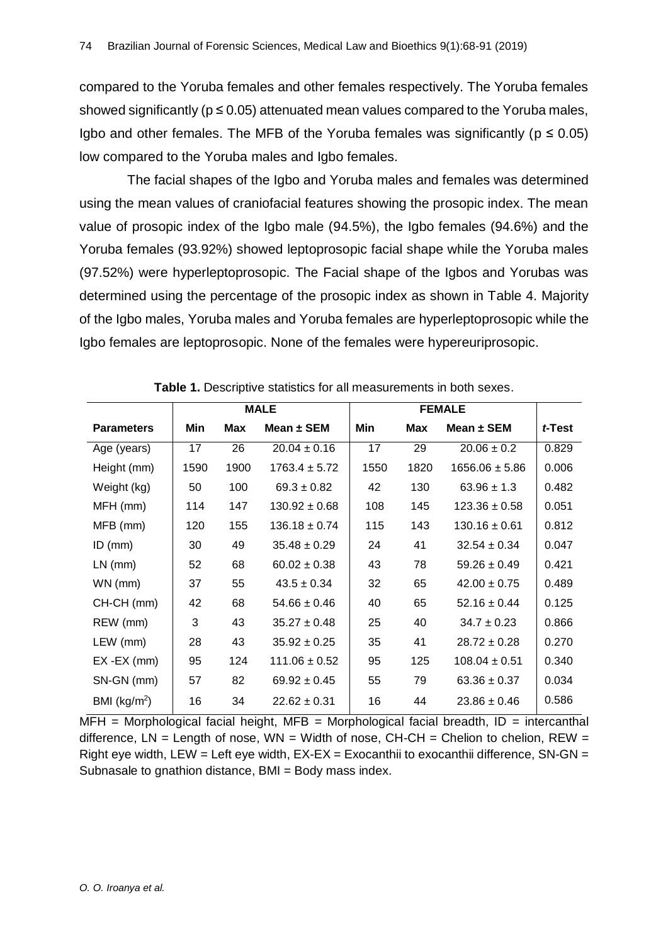compared to the Yoruba females and other females respectively. The Yoruba females showed significantly ( $p \le 0.05$ ) attenuated mean values compared to the Yoruba males, Igbo and other females. The MFB of the Yoruba females was significantly ( $p \le 0.05$ ) low compared to the Yoruba males and Igbo females.

The facial shapes of the Igbo and Yoruba males and females was determined using the mean values of craniofacial features showing the prosopic index. The mean value of prosopic index of the Igbo male (94.5%), the Igbo females (94.6%) and the Yoruba females (93.92%) showed leptoprosopic facial shape while the Yoruba males (97.52%) were hyperleptoprosopic. The Facial shape of the Igbos and Yorubas was determined using the percentage of the prosopic index as shown in Table 4. Majority of the Igbo males, Yoruba males and Yoruba females are hyperleptoprosopic while the Igbo females are leptoprosopic. None of the females were hypereuriprosopic.

|                   |      |            | <b>MALE</b>       |      | <b>FEMALE</b> |                    |        |
|-------------------|------|------------|-------------------|------|---------------|--------------------|--------|
| <b>Parameters</b> | Min  | <b>Max</b> | Mean $\pm$ SEM    | Min  | <b>Max</b>    | Mean $\pm$ SEM     | t-Test |
| Age (years)       | 17   | 26         | $20.04 \pm 0.16$  | 17   | 29            | $20.06 \pm 0.2$    | 0.829  |
| Height (mm)       | 1590 | 1900       | $1763.4 \pm 5.72$ | 1550 | 1820          | $1656.06 \pm 5.86$ | 0.006  |
| Weight (kg)       | 50   | 100        | $69.3 \pm 0.82$   | 42   | 130           | $63.96 \pm 1.3$    | 0.482  |
| MFH (mm)          | 114  | 147        | $130.92 \pm 0.68$ | 108  | 145           | $123.36 \pm 0.58$  | 0.051  |
| MFB (mm)          | 120  | 155        | $136.18 \pm 0.74$ | 115  | 143           | $130.16 \pm 0.61$  | 0.812  |
| $ID$ (mm)         | 30   | 49         | $35.48 \pm 0.29$  | 24   | 41            | $32.54 \pm 0.34$   | 0.047  |
| $LN$ (mm)         | 52   | 68         | $60.02 \pm 0.38$  | 43   | 78            | $59.26 \pm 0.49$   | 0.421  |
| WN (mm)           | 37   | 55         | $43.5 \pm 0.34$   | 32   | 65            | $42.00 \pm 0.75$   | 0.489  |
| CH-CH (mm)        | 42   | 68         | $54.66 \pm 0.46$  | 40   | 65            | $52.16 \pm 0.44$   | 0.125  |
| REW (mm)          | 3    | 43         | $35.27 \pm 0.48$  | 25   | 40            | $34.7 \pm 0.23$    | 0.866  |
| LEW (mm)          | 28   | 43         | $35.92 \pm 0.25$  | 35   | 41            | $28.72 \pm 0.28$   | 0.270  |
| $EX -EX$ (mm)     | 95   | 124        | $111.06 \pm 0.52$ | 95   | 125           | $108.04 \pm 0.51$  | 0.340  |
| SN-GN (mm)        | 57   | 82         | $69.92 \pm 0.45$  | 55   | 79            | $63.36 \pm 0.37$   | 0.034  |
| BMI ( $kg/m2$ )   | 16   | 34         | $22.62 \pm 0.31$  | 16   | 44            | $23.86 \pm 0.46$   | 0.586  |

**Table 1.** Descriptive statistics for all measurements in both sexes.

 $MFH$  = Morphological facial height, MFB = Morphological facial breadth,  $ID$  = intercanthal difference,  $LN = Length$  of nose,  $WN = Width$  of nose,  $CH-CH = Chelion$  to chelion,  $REW =$ Right eye width, LEW = Left eye width, EX-EX = Exocanthii to exocanthii difference, SN-GN = Subnasale to gnathion distance, BMI = Body mass index.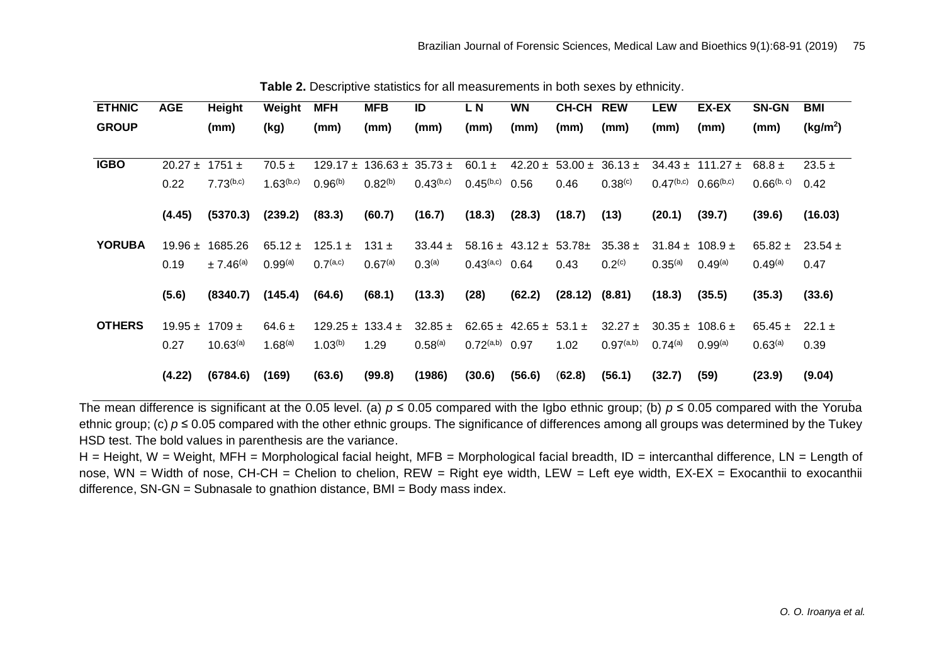| <b>ETHNIC</b> | <b>AGE</b>  | Height           | Weight         | <b>MFH</b>                   | <b>MFB</b>             | ID                 | LN                         | <b>WN</b>                        | <b>CH-CH</b>                      | <b>REW</b>          | <b>LEW</b>          | EX-EX                                                                                                                                                                                                                                                                                | SN-GN               | <b>BMI</b>           |
|---------------|-------------|------------------|----------------|------------------------------|------------------------|--------------------|----------------------------|----------------------------------|-----------------------------------|---------------------|---------------------|--------------------------------------------------------------------------------------------------------------------------------------------------------------------------------------------------------------------------------------------------------------------------------------|---------------------|----------------------|
| <b>GROUP</b>  |             | (mm)             | (kg)           | (mm)                         | (mm)                   | (mm)               | (mm)                       | (mm)                             | (mm)                              | (mm)                | (mm)                | (mm)                                                                                                                                                                                                                                                                                 | (mm)                | (kg/m <sup>2</sup> ) |
| <b>IGBO</b>   | $20.27 \pm$ | $1751 \pm$       | $70.5 \pm$     | 129.17 $\pm$                 | $136.63 \pm 35.73 \pm$ |                    | 60.1 $\pm$                 |                                  | $42.20 \pm 53.00 \pm 36.13 \pm 1$ |                     |                     | $34.43 \pm 111.27 \pm$                                                                                                                                                                                                                                                               | $68.8 \pm$          | $23.5 +$             |
|               | 0.22        | $7.73^{(b,c)}$   | $1.63^{(b,c)}$ | $0.96^{(b)}$                 | $0.82^{(b)}$           | $0.43^{(b,c)}$     | $0.45^{(b,c)}$             | 0.56                             | 0.46                              | 0.38 <sup>(c)</sup> | $0.47^{(b,c)}$      | $0.66^{(b,c)}$                                                                                                                                                                                                                                                                       | $0.66^{(b, c)}$     | 0.42                 |
|               | (4.45)      | (5370.3)         | (239.2)        | (83.3)                       | (60.7)                 | (16.7)             | (18.3)                     | (28.3)                           | (18.7)                            | (13)                | (20.1)              | (39.7)                                                                                                                                                                                                                                                                               | (39.6)              | (16.03)              |
| <b>YORUBA</b> | 19.96 $\pm$ | 1685.26          | $65.12 \pm$    | 125.1 $\pm$                  | $131 \pm$              | $33.44 \pm$        |                            |                                  | $58.16 \pm 43.12 \pm 53.78 \pm 1$ | $35.38 \pm$         |                     | $31.84 \pm 108.9 \pm 100.8$                                                                                                                                                                                                                                                          | $65.82 \pm$         | $23.54 \pm$          |
|               | 0.19        | $\pm 7.46^{(a)}$ | $0.99^{(a)}$   | 0.7 <sup>(a,c)</sup>         | $0.67^{(a)}$           | 0.3 <sup>(a)</sup> | $0.43^{\text{(a,c)}}$ 0.64 |                                  | 0.43                              | $0.2^{(c)}$         | 0.35 <sup>(a)</sup> | $0.49^{(a)}$                                                                                                                                                                                                                                                                         | $0.49^{(a)}$        | 0.47                 |
|               | (5.6)       | (8340.7)         | (145.4)        | (64.6)                       | (68.1)                 | (13.3)             | (28)                       | (62.2)                           | $(28.12)$ $(8.81)$                |                     | (18.3)              | (35.5)                                                                                                                                                                                                                                                                               | (35.3)              | (33.6)               |
| <b>OTHERS</b> | $19.95 \pm$ | 1709 $\pm$       | $64.6 \pm$     | $129.25 \pm 133.4 \pm 133.4$ |                        | $32.85 \pm$        |                            | $62.65 \pm 42.65 \pm 53.1 \pm 1$ |                                   | $32.27 \pm$         |                     | $30.35 \pm 108.6 \pm 100.6 \pm 100.6 \pm 100.6 \pm 100.6 \pm 100.6 \pm 100.6 \pm 100.6 \pm 100.6 \pm 100.6 \pm 100.6 \pm 100.6 \pm 100.6 \pm 100.6 \pm 100.6 \pm 100.6 \pm 100.6 \pm 100.6 \pm 100.6 \pm 100.6 \pm 100.6 \pm 100.6 \pm 100.6 \pm 100.6 \pm 100.6 \pm 100.6 \pm 100.$ | $65.45 \pm$         | $22.1 \pm$           |
|               | 0.27        | $10.63^{(a)}$    | $1.68^{(a)}$   | $1.03^{(b)}$                 | 1.29                   | $0.58^{(a)}$       | $0.72^{\text{(a,b)}}$      | 0.97                             | 1.02                              | 0.97(a,b)           | $0.74^{(a)}$        | $0.99^{(a)}$                                                                                                                                                                                                                                                                         | 0.63 <sup>(a)</sup> | 0.39                 |
|               | (4.22)      | (6784.6)         | (169)          | (63.6)                       | (99.8)                 | (1986)             | (30.6)                     | (56.6)                           | (62.8)                            | (56.1)              | (32.7)              | (59)                                                                                                                                                                                                                                                                                 | (23.9)              | (9.04)               |

**Table 2.** Descriptive statistics for all measurements in both sexes by ethnicity.

The mean difference is significant at the 0.05 level. (a)  $p \le 0.05$  compared with the Igbo ethnic group; (b)  $p \le 0.05$  compared with the Yoruba ethnic group; (c) *p* ≤ 0.05 compared with the other ethnic groups. The significance of differences among all groups was determined by the Tukey HSD test. The bold values in parenthesis are the variance.

H = Height, W = Weight, MFH = Morphological facial height, MFB = Morphological facial breadth, ID = intercanthal difference, LN = Length of nose, WN = Width of nose, CH-CH = Chelion to chelion, REW = Right eye width, LEW = Left eye width, EX-EX = Exocanthii to exocanthii difference, SN-GN = Subnasale to gnathion distance, BMI = Body mass index.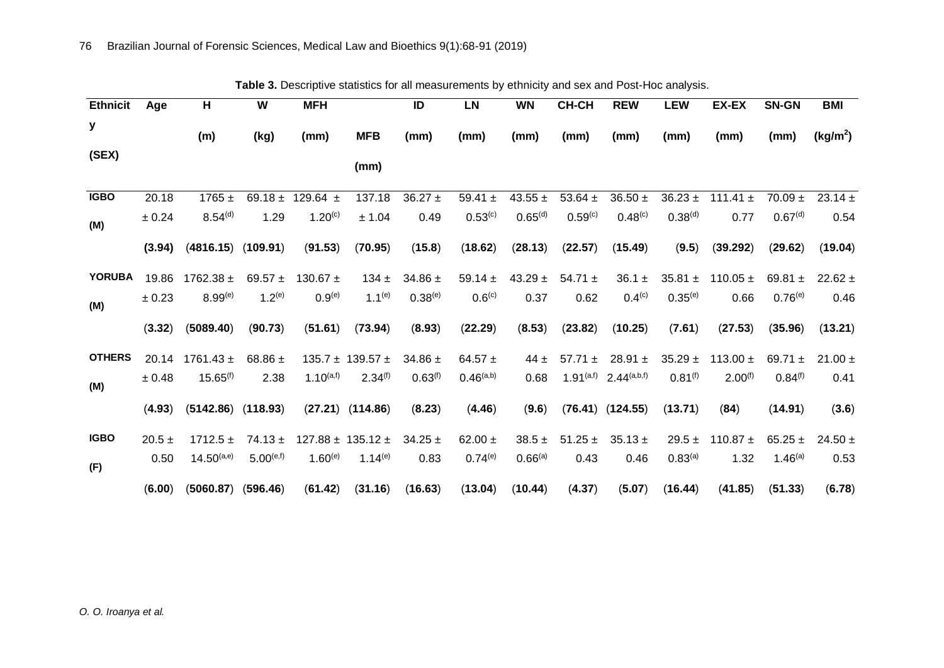|                 | Table 3. Descriptive statistics for all measurements by ethnicity and sex and Post-Hoc analysis. |                     |                |                    |                                |              |                       |                     |                     |                      |                     |              |                     |                      |
|-----------------|--------------------------------------------------------------------------------------------------|---------------------|----------------|--------------------|--------------------------------|--------------|-----------------------|---------------------|---------------------|----------------------|---------------------|--------------|---------------------|----------------------|
| <b>Ethnicit</b> | Age                                                                                              | H                   | W              | <b>MFH</b>         |                                | ID           | <b>LN</b>             | <b>WN</b>           | CH-CH               | <b>REW</b>           | <b>LEW</b>          | EX-EX        | <b>SN-GN</b>        | <b>BMI</b>           |
| У               |                                                                                                  | (m)                 | (kg)           | (mm)               | <b>MFB</b>                     | (mm)         | (mm)                  | (mm)                | (mm)                | (mm)                 | (mm)                | (mm)         | (mm)                | (kg/m <sup>2</sup> ) |
| (SEX)           |                                                                                                  |                     |                |                    | (mm)                           |              |                       |                     |                     |                      |                     |              |                     |                      |
| <b>IGBO</b>     | 20.18                                                                                            | $1765 \pm$          |                | 69.18 ± 129.64 ±   | 137.18                         | $36.27 \pm$  | 59.41 $\pm$           | 43.55 $\pm$         | 53.64 $\pm$         | $36.50 \pm$          | $36.23 \pm$         | 111.41 $\pm$ | $70.09 \pm$         | 23.14 $\pm$          |
| (M)             | ± 0.24                                                                                           | 8.54 <sup>(d)</sup> | 1.29           | $1.20^{(c)}$       | ± 1.04                         | 0.49         | $0.53^{(c)}$          | 0.65 <sup>(d)</sup> | 0.59 <sup>(c)</sup> | $0.48^{(c)}$         | 0.38 <sup>(d)</sup> | 0.77         | 0.67 <sup>(d)</sup> | 0.54                 |
|                 | (3.94)                                                                                           | (4816.15)           | (109.91)       | (91.53)            | (70.95)                        | (15.8)       | (18.62)               | (28.13)             | (22.57)             | (15.49)              | (9.5)               | (39.292)     | (29.62)             | (19.04)              |
| <b>YORUBA</b>   | 19.86                                                                                            | $1762.38 \pm$       | 69.57 $\pm$    | 130.67 $\pm$       | 134 $\pm$                      | 34.86 $\pm$  | 59.14 $\pm$           | $43.29 \pm$         | $54.71 \pm$         | $36.1 \pm$           | 35.81 $\pm$         | 110.05 $\pm$ | 69.81 $\pm$         | $22.62 \pm$          |
| (M)             | ± 0.23                                                                                           | $8.99^{(e)}$        | $1.2^{(e)}$    | 0.9 <sup>(e)</sup> | $1.1^{(e)}$                    | $0.38^{(e)}$ | 0.6 <sup>(c)</sup>    | 0.37                | 0.62                | 0.4 <sup>(c)</sup>   | $0.35^{(e)}$        | 0.66         | $0.76^{(e)}$        | 0.46                 |
|                 | (3.32)                                                                                           | (5089.40)           | (90.73)        | (51.61)            | (73.94)                        | (8.93)       | (22.29)               | (8.53)              | (23.82)             | (10.25)              | (7.61)              | (27.53)      | (35.96)             | (13.21)              |
| <b>OTHERS</b>   | 20.14                                                                                            | $1761.43 \pm$       | 68.86 $\pm$    |                    | $135.7 \pm 139.57 \pm 139.57$  | 34.86 $\pm$  | 64.57 $\pm$           | 44 $\pm$            | $57.71 \pm$         | 28.91 $\pm$          | $35.29 +$           | 113.00 $\pm$ | 69.71 $\pm$         | $21.00 \pm$          |
| (M)             | $\pm 0.48$                                                                                       | $15.65^{(f)}$       | 2.38           | $1.10^{(a,f)}$     | 2.34 <sup>(f)</sup>            | $0.63^{(f)}$ | 0.46 <sup>(a,b)</sup> | 0.68                | 1.91(a,f)           | $2.44^{(a,b,f)}$     | $0.81^{(f)}$        | $2.00^{(f)}$ | 0.84 <sup>(f)</sup> | 0.41                 |
|                 | (4.93)                                                                                           | (5142.86)           | (118.93)       |                    | $(27.21)$ $(114.86)$           | (8.23)       | (4.46)                | (9.6)               |                     | $(76.41)$ $(124.55)$ | (13.71)             | (84)         | (14.91)             | (3.6)                |
| <b>IGBO</b>     | $20.5 \pm$                                                                                       | $1712.5 \pm$        | $74.13 \pm$    |                    | $127.88 \pm 135.12 \pm 135.12$ | $34.25 \pm$  | 62.00 $\pm$           | $38.5 \pm$          | $51.25 \pm$         | $35.13 \pm$          | $29.5 \pm$          | 110.87 $\pm$ | $65.25 \pm$         | $24.50 \pm$          |
| (F)             | 0.50                                                                                             | $14.50^{(a,e)}$     | $5.00^{(e,f)}$ | $1.60^{(e)}$       | $1.14^{(e)}$                   | 0.83         | $0.74^{(e)}$          | 0.66 <sup>(a)</sup> | 0.43                | 0.46                 | 0.83 <sup>(a)</sup> | 1.32         | 1.46 <sup>(a)</sup> | 0.53                 |
|                 | (6.00)                                                                                           | (5060.87)           | (596.46)       | (61.42)            | (31.16)                        | (16.63)      | (13.04)               | (10.44)             | (4.37)              | (5.07)               | (16.44)             | (41.85)      | (51.33)             | (6.78)               |

*O. O. Iroanya et al.*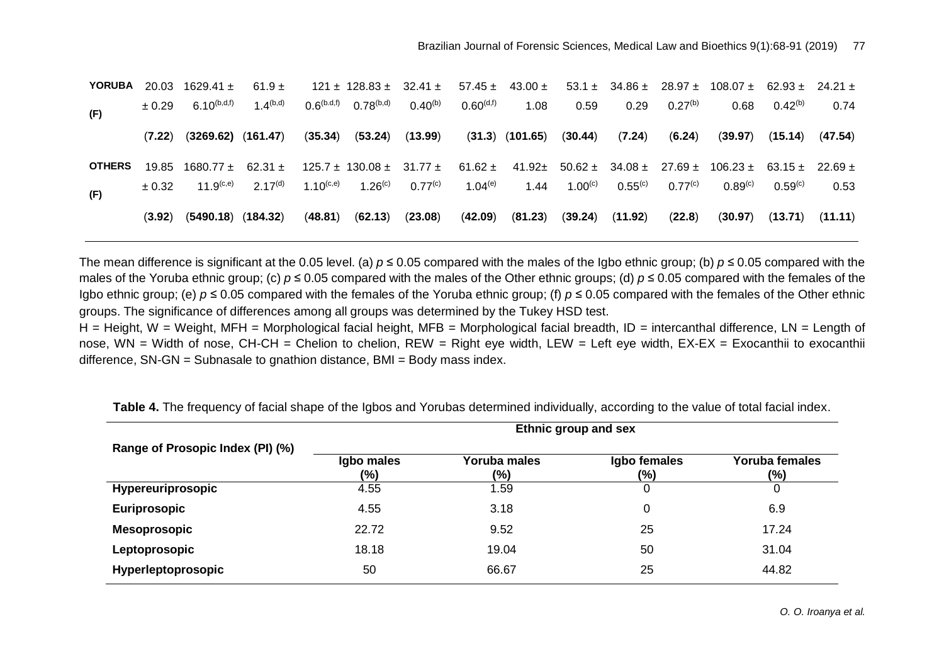| <b>YORUBA</b> | 20.03      | 1629.41 $\pm$             | 61.9 $\pm$          |                             | $121 \pm 128.83 \pm 32.41 \pm 128.83$ |              |                    | $57.45 \pm 43.00 \pm 1$ |              |              |              | $53.1 \pm 34.86 \pm 28.97 \pm 108.07 \pm 62.93 \pm 24.21 \pm 10.02$                      |                     |         |
|---------------|------------|---------------------------|---------------------|-----------------------------|---------------------------------------|--------------|--------------------|-------------------------|--------------|--------------|--------------|------------------------------------------------------------------------------------------|---------------------|---------|
| (F)           | $\pm 0.29$ | 6.10 <sup>(b,d,f)</sup>   | 1 $4^{(b,d)}$       | $0.6$ <sup>(b.d,f)</sup>    | $0.78^{(b,d)}$                        | $0.40^{(b)}$ | $0.60^{\rm (d,f)}$ | 1.08                    | 0.59         | 0.29         | $0.27^{(b)}$ | 0.68                                                                                     | $0.42^{(b)}$        | 0.74    |
|               | (7.22)     | $(3269.62)$ $(161.47)$    |                     | (35.34)                     | (53.24)                               | (13.99)      |                    | $(31.3)$ $(101.65)$     | (30.44)      | (7.24)       | (6.24)       | (39.97)                                                                                  | (15.14)             | (47.54) |
| <b>OTHERS</b> | 19.85      | $1680.77 \pm 62.31 \pm 1$ |                     |                             | $125.7 \pm 130.08 \pm 31.77 \pm 1$    |              |                    |                         |              |              |              | $61.62 \pm 41.92 \pm 50.62 \pm 34.08 \pm 27.69 \pm 106.23 \pm 63.15 \pm 22.69 \pm 10.02$ |                     |         |
| (F)           | ± 0.32     | 11 $9^{(c,e)}$            | 2.17 <sup>(d)</sup> | 1 1 $\Omega^{\text{(c,e)}}$ | $1.26^{(c)}$                          | $0.77^{(c)}$ | $1.04^{(e)}$       | 1.44                    | $1.00^{(c)}$ | $0.55^{(c)}$ | $0.77^{(c)}$ | 0.89 <sup>(c)</sup>                                                                      | 0.59 <sup>(c)</sup> | 0.53    |
|               | (3.92)     | $(5490.18)$ $(184.32)$    |                     | (48.81)                     | (62.13)                               | (23.08)      | (42.09)            | (81.23)                 | (39.24)      | (11.92)      | (22.8)       | (30.97)                                                                                  | (13.71)             | (11.11) |

The mean difference is significant at the 0.05 level. (a)  $p \le 0.05$  compared with the males of the Igbo ethnic group; (b)  $p \le 0.05$  compared with the males of the Yoruba ethnic group; (c) *p* ≤ 0.05 compared with the males of the Other ethnic groups; (d) *p* ≤ 0.05 compared with the females of the Igbo ethnic group; (e) *p* ≤ 0.05 compared with the females of the Yoruba ethnic group; (f) *p* ≤ 0.05 compared with the females of the Other ethnic groups. The significance of differences among all groups was determined by the Tukey HSD test.

 $H =$  Height, W = Weight, MFH = Morphological facial height, MFB = Morphological facial breadth, ID = intercanthal difference, LN = Length of nose, WN = Width of nose, CH-CH = Chelion to chelion, REW = Right eye width, LEW = Left eye width, EX-EX = Exocanthii to exocanthii difference, SN-GN = Subnasale to gnathion distance, BMI = Body mass index.

|                                  | Ethnic group and sex  |                     |                         |                          |  |  |  |  |  |  |
|----------------------------------|-----------------------|---------------------|-------------------------|--------------------------|--|--|--|--|--|--|
| Range of Prosopic Index (PI) (%) | Igbo males<br>$(\% )$ | Yoruba males<br>(%) | Igbo females<br>$(\% )$ | Yoruba females<br>$(\%)$ |  |  |  |  |  |  |
| Hypereuriprosopic                | 4.55                  | l.59                |                         | 0                        |  |  |  |  |  |  |
| Euriprosopic                     | 4.55                  | 3.18                | 0                       | 6.9                      |  |  |  |  |  |  |
| <b>Mesoprosopic</b>              | 22.72                 | 9.52                | 25                      | 17.24                    |  |  |  |  |  |  |
| Leptoprosopic                    | 18.18                 | 19.04               | 50                      | 31.04                    |  |  |  |  |  |  |
| Hyperleptoprosopic               | 50                    | 66.67               | 25                      | 44.82                    |  |  |  |  |  |  |

**Table 4.** The frequency of facial shape of the Igbos and Yorubas determined individually, according to the value of total facial index.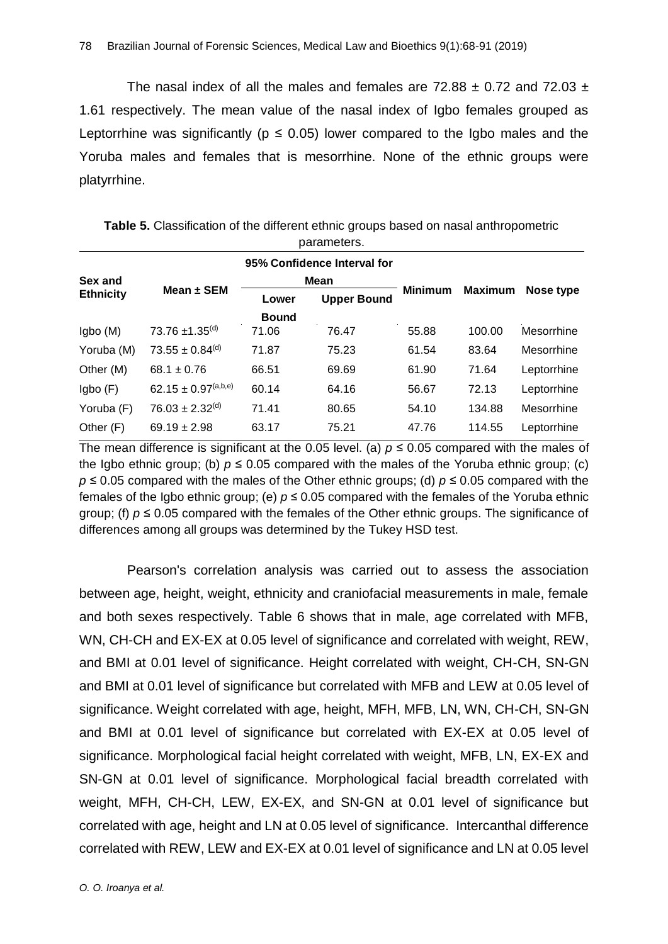The nasal index of all the males and females are 72.88  $\pm$  0.72 and 72.03  $\pm$ 1.61 respectively. The mean value of the nasal index of Igbo females grouped as Leptorrhine was significantly ( $p \le 0.05$ ) lower compared to the Igbo males and the Yoruba males and females that is mesorrhine. None of the ethnic groups were platyrrhine.

|                  |                                   |              | 95% Confidence Interval for |                |                |             |  |  |
|------------------|-----------------------------------|--------------|-----------------------------|----------------|----------------|-------------|--|--|
| Sex and          | Mean $\pm$ SEM                    |              | <b>Mean</b>                 | <b>Minimum</b> | <b>Maximum</b> | Nose type   |  |  |
| <b>Ethnicity</b> |                                   | Lower        | <b>Upper Bound</b>          |                |                |             |  |  |
|                  |                                   | <b>Bound</b> |                             |                |                |             |  |  |
| lgbo(M)          | 73.76 $\pm$ 1.35 <sup>(d)</sup>   | 71.06        | 76.47                       | 55.88          | 100.00         | Mesorrhine  |  |  |
| Yoruba (M)       | $73.55 \pm 0.84$ <sup>(d)</sup>   | 71.87        | 75.23                       | 61.54          | 83.64          | Mesorrhine  |  |  |
| Other (M)        | $68.1 \pm 0.76$                   | 66.51        | 69.69                       | 61.90          | 71.64          | Leptorrhine |  |  |
| lgbo(F)          | $62.15 \pm 0.97^{\text{(a,b,e)}}$ | 60.14        | 64.16                       | 56.67          | 72.13          | Leptorrhine |  |  |
| Yoruba (F)       | $76.03 \pm 2.32^{(d)}$            | 71.41        | 80.65                       | 54.10          | 134.88         | Mesorrhine  |  |  |
| Other (F)        | $69.19 \pm 2.98$                  | 63.17        | 75.21                       | 47.76          | 114.55         | Leptorrhine |  |  |

**Table 5.** Classification of the different ethnic groups based on nasal anthropometric parameters.

The mean difference is significant at the 0.05 level. (a)  $p \le 0.05$  compared with the males of the Igbo ethnic group; (b)  $p \le 0.05$  compared with the males of the Yoruba ethnic group; (c) *p* ≤ 0.05 compared with the males of the Other ethnic groups; (d) *p* ≤ 0.05 compared with the females of the Igbo ethnic group; (e) *p* ≤ 0.05 compared with the females of the Yoruba ethnic group; (f)  $p \le 0.05$  compared with the females of the Other ethnic groups. The significance of differences among all groups was determined by the Tukey HSD test.

Pearson's correlation analysis was carried out to assess the association between age, height, weight, ethnicity and craniofacial measurements in male, female and both sexes respectively. Table 6 shows that in male, age correlated with MFB, WN, CH-CH and EX-EX at 0.05 level of significance and correlated with weight, REW, and BMI at 0.01 level of significance. Height correlated with weight, CH-CH, SN-GN and BMI at 0.01 level of significance but correlated with MFB and LEW at 0.05 level of significance. Weight correlated with age, height, MFH, MFB, LN, WN, CH-CH, SN-GN and BMI at 0.01 level of significance but correlated with EX-EX at 0.05 level of significance. Morphological facial height correlated with weight, MFB, LN, EX-EX and SN-GN at 0.01 level of significance. Morphological facial breadth correlated with weight, MFH, CH-CH, LEW, EX-EX, and SN-GN at 0.01 level of significance but correlated with age, height and LN at 0.05 level of significance. Intercanthal difference correlated with REW, LEW and EX-EX at 0.01 level of significance and LN at 0.05 level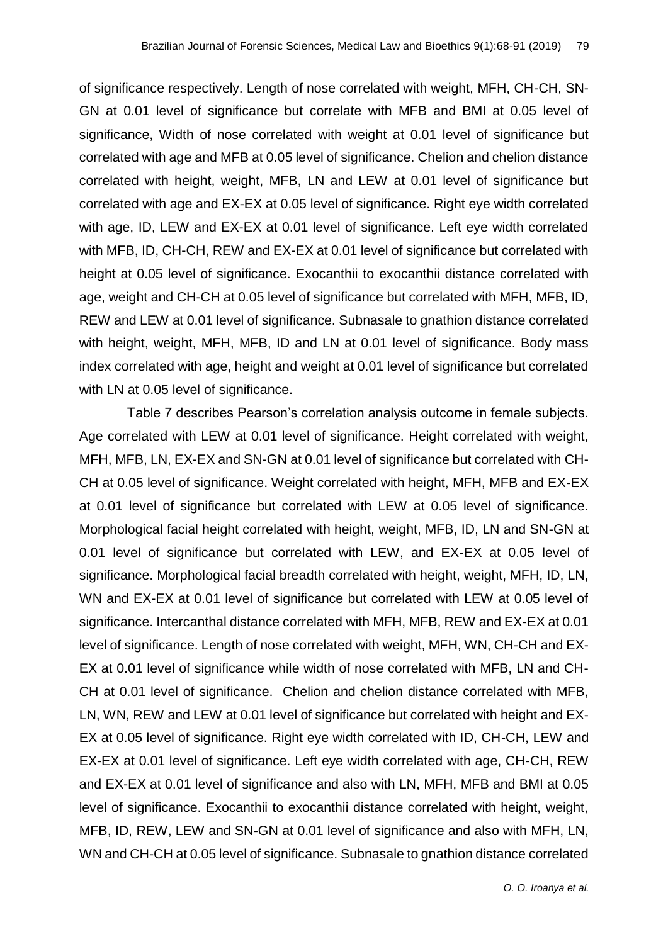of significance respectively. Length of nose correlated with weight, MFH, CH-CH, SN-GN at 0.01 level of significance but correlate with MFB and BMI at 0.05 level of significance, Width of nose correlated with weight at 0.01 level of significance but correlated with age and MFB at 0.05 level of significance. Chelion and chelion distance correlated with height, weight, MFB, LN and LEW at 0.01 level of significance but correlated with age and EX-EX at 0.05 level of significance. Right eye width correlated with age, ID, LEW and EX-EX at 0.01 level of significance. Left eye width correlated with MFB, ID, CH-CH, REW and EX-EX at 0.01 level of significance but correlated with height at 0.05 level of significance. Exocanthii to exocanthii distance correlated with age, weight and CH-CH at 0.05 level of significance but correlated with MFH, MFB, ID, REW and LEW at 0.01 level of significance. Subnasale to gnathion distance correlated with height, weight, MFH, MFB, ID and LN at 0.01 level of significance. Body mass index correlated with age, height and weight at 0.01 level of significance but correlated with LN at 0.05 level of significance.

Table 7 describes Pearson's correlation analysis outcome in female subjects. Age correlated with LEW at 0.01 level of significance. Height correlated with weight, MFH, MFB, LN, EX-EX and SN-GN at 0.01 level of significance but correlated with CH-CH at 0.05 level of significance. Weight correlated with height, MFH, MFB and EX-EX at 0.01 level of significance but correlated with LEW at 0.05 level of significance. Morphological facial height correlated with height, weight, MFB, ID, LN and SN-GN at 0.01 level of significance but correlated with LEW, and EX-EX at 0.05 level of significance. Morphological facial breadth correlated with height, weight, MFH, ID, LN, WN and EX-EX at 0.01 level of significance but correlated with LEW at 0.05 level of significance. Intercanthal distance correlated with MFH, MFB, REW and EX-EX at 0.01 level of significance. Length of nose correlated with weight, MFH, WN, CH-CH and EX-EX at 0.01 level of significance while width of nose correlated with MFB, LN and CH-CH at 0.01 level of significance. Chelion and chelion distance correlated with MFB, LN, WN, REW and LEW at 0.01 level of significance but correlated with height and EX-EX at 0.05 level of significance. Right eye width correlated with ID, CH-CH, LEW and EX-EX at 0.01 level of significance. Left eye width correlated with age, CH-CH, REW and EX-EX at 0.01 level of significance and also with LN, MFH, MFB and BMI at 0.05 level of significance. Exocanthii to exocanthii distance correlated with height, weight, MFB, ID, REW, LEW and SN-GN at 0.01 level of significance and also with MFH, LN, WN and CH-CH at 0.05 level of significance. Subnasale to gnathion distance correlated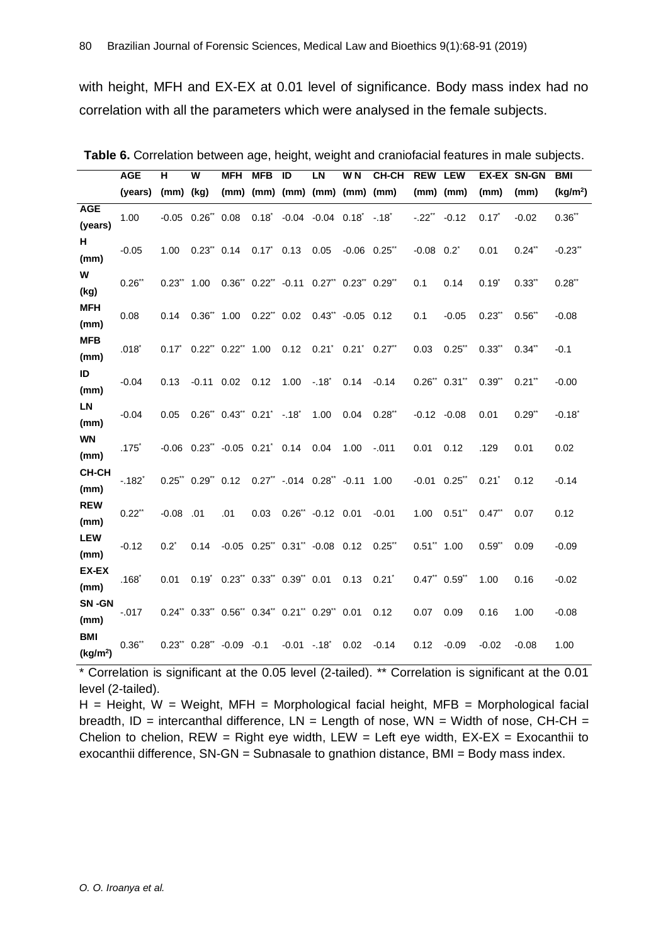with height, MFH and EX-EX at 0.01 level of significance. Body mass index had no correlation with all the parameters which were analysed in the female subjects.

|                                    |                     |                 |                          |                                                    |                           |              |                                           |                   |              |                    |                 |            | Table 6. Correlation between age, height, weight and craniofacial features in male subjects. |                      |
|------------------------------------|---------------------|-----------------|--------------------------|----------------------------------------------------|---------------------------|--------------|-------------------------------------------|-------------------|--------------|--------------------|-----------------|------------|----------------------------------------------------------------------------------------------|----------------------|
|                                    | <b>AGE</b>          | н               | W                        | <b>MFH</b>                                         | <b>MFB</b>                | ID           | LN                                        | W <sub>N</sub>    | <b>CH-CH</b> | <b>REW LEW</b>     |                 |            | EX-EX SN-GN                                                                                  | <b>BMI</b>           |
|                                    | (years)             | $(mm)$ (kg)     |                          |                                                    |                           |              | $(mm)$ $(mm)$ $(mm)$ $(mm)$ $(mm)$ $(mm)$ |                   |              | $(mm)$ $(mm)$      |                 | (mm)       | (mm)                                                                                         | (kg/m <sup>2</sup> ) |
| <b>AGE</b><br>(years)              | 1.00                |                 | $-0.05$ $0.26$ $0.08$    |                                                    |                           |              | $0.18^{\circ}$ -0.04 -0.04 0.18 -.18      |                   |              | $-.22$ ** $-.0.12$ |                 | $0.17^*$   | $-0.02$                                                                                      | $0.36$ **            |
| н.<br>(mm)                         | $-0.05$             | 1.00            | $0.23$ " $0.14$          |                                                    | $0.17^{\circ}$ 0.13       |              | 0.05                                      | $-0.06$ $0.25$ ** |              | $-0.08$ $0.2^*$    |                 | 0.01       | $0.24$ **                                                                                    | $-0.23$ *            |
| W<br>(kg)                          | 0.26                | $0.23$ " $1.00$ |                          | 0.36" 0.22" -0.11 0.27" 0.23" 0.29"                |                           |              |                                           |                   |              | 0.1                | 0.14            | $0.19^{*}$ | $0.33$ **                                                                                    | $0.28$ **            |
| <b>MFH</b><br>(mm)                 | 0.08                | 0.14            | $0.36^{**}$ 1.00         |                                                    | $0.22$ <sup>**</sup> 0.02 |              | $0.43$ " -0.05 0.12                       |                   |              | 0.1                | $-0.05$         | 0.23       | $0.56$ **                                                                                    | $-0.08$              |
| <b>MFB</b><br>(mm)                 | $.018^*$            |                 |                          | 0.17* 0.22** 0.22** 1.00  0.12  0.21* 0.21* 0.27** |                           |              |                                           |                   |              | 0.03               | $0.25$ **       | $0.33$ **  | $0.34$ **                                                                                    | $-0.1$               |
| ID<br>(mm)                         | $-0.04$             | 0.13            | $-0.11$ 0.02             |                                                    | 0.12                      | 1.00         | $-.18$                                    | 0.14              | $-0.14$      |                    | $0.26"$ $0.31"$ | 0.39"      | $0.21$ **                                                                                    | $-0.00$              |
| LN<br>(mm)                         | $-0.04$             | 0.05            |                          | $0.26$ " $0.43$ " $0.21$ " $-18$ "                 |                           |              | 1.00                                      | 0.04              | 0.28         | $-0.12 -0.08$      |                 | 0.01       | $0.29$ **                                                                                    | $-0.18$ <sup>*</sup> |
| <b>WN</b><br>(mm)                  | $.175$ <sup>*</sup> |                 |                          | $-0.06$ $0.23$ $-0.05$ $0.21$ $0.14$ $0.04$        |                           |              |                                           | 1.00              | $-.011$      | 0.01               | 0.12            | .129       | 0.01                                                                                         | 0.02                 |
| <b>CH-CH</b><br>(mm)               | $-.182"$            |                 | $0.25$ " $0.29$ " $0.12$ |                                                    |                           |              | $0.27$ ** $-.014$ $0.28$ ** $-.0.11$ 1.00 |                   |              | $-0.01$ $0.25$ **  |                 | $0.21^*$   | 0.12                                                                                         | $-0.14$              |
| <b>REW</b><br>(mm)                 | $0.22$ "            | $-0.08$         | .01                      | .01                                                | 0.03                      |              | $0.26$ ** $-0.12$ 0.01                    |                   | $-0.01$      | 1.00               | $0.51$ **       | $0.47$ **  | 0.07                                                                                         | 0.12                 |
| <b>LEW</b><br>(mm)                 | $-0.12$             | $0.2^*$         | 0.14                     |                                                    |                           |              | $-0.05$ $0.25$ $0.31$ $-0.08$ $0.12$      |                   | $0.25$ **    | $0.51$ " $1.00$    |                 | 0.59"      | 0.09                                                                                         | $-0.09$              |
| EX-EX<br>(mm)                      | $.168^*$            | 0.01            | $0.19^{\degree}$         | $0.23$ " $0.33$ " $0.39$ " $0.01$                  |                           |              |                                           | 0.13              | $0.21^*$     | $0.47"$ $0.59"$    |                 | 1.00       | 0.16                                                                                         | $-0.02$              |
| SN-GN<br>(mm)                      | $-0.017$            |                 |                          | 0.24" 0.33" 0.56" 0.34" 0.21" 0.29" 0.01           |                           |              |                                           |                   | 0.12         | 0.07               | 0.09            | 0.16       | 1.00                                                                                         | $-0.08$              |
| <b>BMI</b><br>(kg/m <sup>2</sup> ) | $0.36$ **           |                 |                          | $0.23$ " $0.28$ " $-0.09$ $-0.1$                   |                           | $-0.01 - 18$ |                                           | 0.02              | $-0.14$      | 0.12               | $-0.09$         | $-0.02$    | $-0.08$                                                                                      | 1.00                 |

\* Correlation is significant at the 0.05 level (2-tailed). \*\* Correlation is significant at the 0.01 level (2-tailed).

 $H =$  Height, W = Weight, MFH = Morphological facial height, MFB = Morphological facial breadth, ID = intercanthal difference,  $LN = Length$  of nose,  $WN = Width$  of nose,  $CH-CH =$ Chelion to chelion,  $REW = Right$  eye width,  $LEW = Left$  eye width,  $EX-EX = Exocanthii$  to exocanthii difference, SN-GN = Subnasale to gnathion distance, BMI = Body mass index.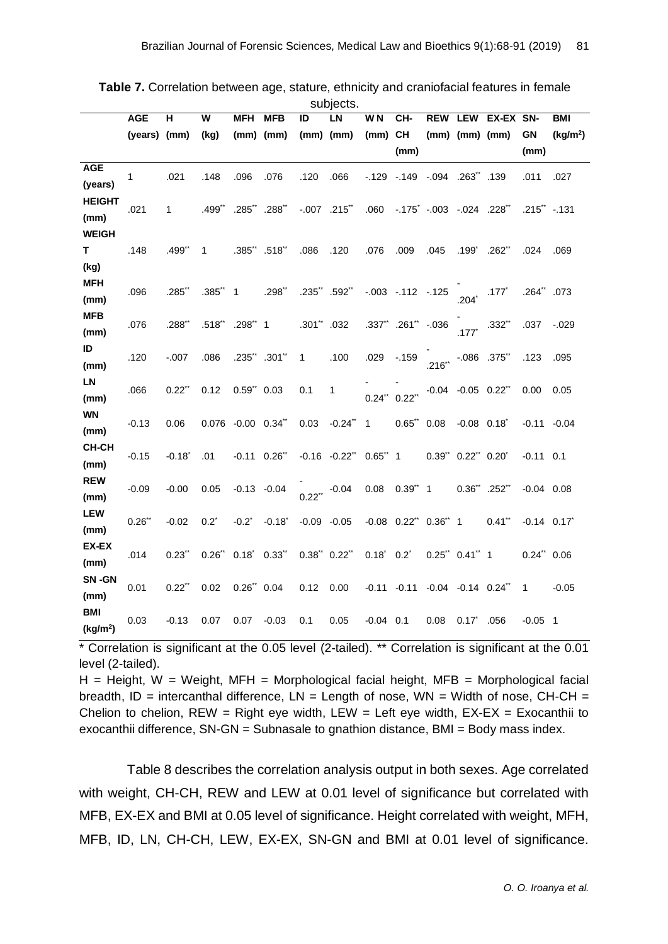|                       | <b>AGE</b>   | н                    | W         | MFH                     | <b>MFB</b>           | ID              | oupjoolo.<br>LN              | W N                             | CH-                                                  | <b>REW</b>                                  | <b>LEW</b>                  | EX-EX SN-            |                 | <b>BMI</b>           |
|-----------------------|--------------|----------------------|-----------|-------------------------|----------------------|-----------------|------------------------------|---------------------------------|------------------------------------------------------|---------------------------------------------|-----------------------------|----------------------|-----------------|----------------------|
|                       | (years) (mm) |                      | (kg)      |                         | $(mm)$ $(mm)$        |                 | $(mm)$ $(mm)$                | (mm)                            | <b>CH</b>                                            |                                             | $(mm)$ $(mm)$ $(mm)$        |                      | <b>GN</b>       | (kg/m <sup>2</sup> ) |
|                       |              |                      |           |                         |                      |                 |                              |                                 | (mm)                                                 |                                             |                             |                      | (mm)            |                      |
| <b>AGE</b>            | 1            | .021                 | .148      | .096                    | .076                 | .120            | .066                         |                                 | $-129$ $-149$ $-094$ $-263$ $-139$                   |                                             |                             |                      | .011            | .027                 |
| (years)               |              |                      |           |                         |                      |                 |                              |                                 |                                                      |                                             |                             |                      |                 |                      |
| <b>HEIGHT</b><br>(mm) | .021         | $\mathbf 1$          | .499**    | .285                    | .288**               |                 | $-.007$ .215**               | .060                            |                                                      | $-0.175$ $-0.003$ $-0.024$ $0.228$ $-0.024$ |                             |                      | $.215$ " -.131  |                      |
| <b>WEIGH</b>          |              |                      |           |                         |                      |                 |                              |                                 |                                                      |                                             |                             |                      |                 |                      |
| Τ                     | .148         | .499"                | 1         |                         | .385" .518"          | .086            | .120                         | .076                            | .009                                                 | .045                                        | $.199^{\degree}$            | .262                 | .024            | .069                 |
| (kg)                  |              |                      |           |                         |                      |                 |                              |                                 |                                                      |                                             |                             |                      |                 |                      |
| <b>MFH</b>            | .096         | .285                 | $.385"$ 1 |                         | $.298$ **            |                 | $.235$ " $.592$ "            |                                 | $-.003-.112-.125$                                    |                                             |                             | $.177*$              | .264** .073     |                      |
| (mm)                  |              |                      |           |                         |                      |                 |                              |                                 |                                                      |                                             | $204*$                      |                      |                 |                      |
| <b>MFB</b>            | .076         | .288"                |           | .518" .298" 1           |                      | $.301$ ".032    |                              |                                 | .337** .261** -.036                                  |                                             | .177                        | $.332**$             | .037            | $-.029$              |
| (mm)<br>ID            |              |                      |           |                         |                      |                 |                              |                                 |                                                      |                                             |                             |                      |                 |                      |
| (mm)                  | .120         | $-.007$              | .086      | .235" .301"             |                      | $\mathbf{1}$    | .100                         | .029                            | $-159$                                               |                                             | $.216^{**}$ -.086 .375*     |                      | .123            | .095                 |
| LN                    |              |                      |           |                         |                      |                 |                              |                                 |                                                      |                                             |                             |                      |                 |                      |
| (mm)                  | .066         | $0.22$ "             | 0.12      | $0.59"$ 0.03            |                      | 0.1             | 1                            |                                 | $0.24$ " $0.22$ "                                    |                                             | $-0.04$ $-0.05$ $0.22$ **   |                      | 0.00            | 0.05                 |
| <b>WN</b>             | $-0.13$      | 0.06                 |           | 0.076 -0.00 0.34**      |                      | 0.03            | $-0.24$ " 1                  |                                 | $0.65"$ 0.08                                         |                                             | $-0.08$ $0.18$ <sup>*</sup> |                      | $-0.11 - 0.04$  |                      |
| (mm)                  |              |                      |           |                         |                      |                 |                              |                                 |                                                      |                                             |                             |                      |                 |                      |
| CH-CH<br>(mm)         | $-0.15$      | $-0.18$ <sup>*</sup> | .01       | $-0.11$ $0.26$ **       |                      |                 | $-0.16$ $-0.22$ $0.65$ $1$   |                                 |                                                      |                                             | $0.39"$ $0.22"$ $0.20"$     |                      | $-0.11$ 0.1     |                      |
| <b>REW</b>            |              |                      |           |                         |                      |                 |                              |                                 |                                                      |                                             |                             |                      |                 |                      |
| (mm)                  | $-0.09$      | $-0.00$              | 0.05      | $-0.13 - 0.04$          |                      |                 | $0.22$ <sup>**</sup> $-0.04$ |                                 | $0.08$ $0.39"$ 1                                     |                                             | $0.36$ " .252"              |                      | $-0.04$ 0.08    |                      |
| <b>LEW</b>            | $0.26$ **    | $-0.02$              | $0.2^*$   | $-0.2^*$                | $-0.18$ <sup>*</sup> | $-0.09 - 0.05$  |                              |                                 | $-0.08$ $0.22$ <sup>**</sup> $0.36$ <sup>**</sup> 1  |                                             |                             | $0.41$ <sup>**</sup> | $-0.14$ 0.17    |                      |
| (mm)                  |              |                      |           |                         |                      |                 |                              |                                 |                                                      |                                             |                             |                      |                 |                      |
| <b>EX-EX</b>          | .014         | 0.23                 |           | $0.26"$ $0.18"$ $0.33"$ |                      | $0.38"$ $0.22"$ |                              | $0.18^{\circ}$ 0.2 <sup>*</sup> |                                                      |                                             | $0.25$ " $0.41$ " 1         |                      | $0.24$ " $0.06$ |                      |
| (mm)<br>SN-GN         |              |                      |           |                         |                      |                 |                              |                                 |                                                      |                                             |                             |                      |                 |                      |
| (mm)                  | 0.01         | $0.22$ "             | 0.02      | $0.26$ " $0.04$         |                      | 0.12            | 0.00                         |                                 | $-0.11$ $-0.11$ $-0.04$ $-0.14$ $0.24$ <sup>**</sup> |                                             |                             |                      | 1               | $-0.05$              |
| <b>BMI</b>            |              |                      |           |                         |                      |                 |                              |                                 |                                                      |                                             |                             |                      |                 |                      |
| (kg/m <sup>2</sup> )  | 0.03         | $-0.13$              | 0.07      | 0.07                    | $-0.03$              | 0.1             | 0.05                         | $-0.04$ 0.1                     |                                                      | 0.08                                        | $0.17^{\degree}$            | .056                 | $-0.05$ 1       |                      |

| <b>Table 7.</b> Correlation between age, stature, ethnicity and craniofacial features in female |          |  |
|-------------------------------------------------------------------------------------------------|----------|--|
|                                                                                                 | cubioote |  |

\* Correlation is significant at the 0.05 level (2-tailed). \*\* Correlation is significant at the 0.01 level (2-tailed).

 $H =$  Height, W = Weight, MFH = Morphological facial height, MFB = Morphological facial breadth, ID = intercanthal difference,  $LN =$  Length of nose,  $WN =$  Width of nose,  $CH-CH =$ Chelion to chelion,  $REW = Right$  eye width,  $LEW = Left$  eye width,  $EX-EX = Exocanthii$  to exocanthii difference, SN-GN = Subnasale to gnathion distance, BMI = Body mass index.

Table 8 describes the correlation analysis output in both sexes. Age correlated with weight, CH-CH, REW and LEW at 0.01 level of significance but correlated with MFB, EX-EX and BMI at 0.05 level of significance. Height correlated with weight, MFH, MFB, ID, LN, CH-CH, LEW, EX-EX, SN-GN and BMI at 0.01 level of significance.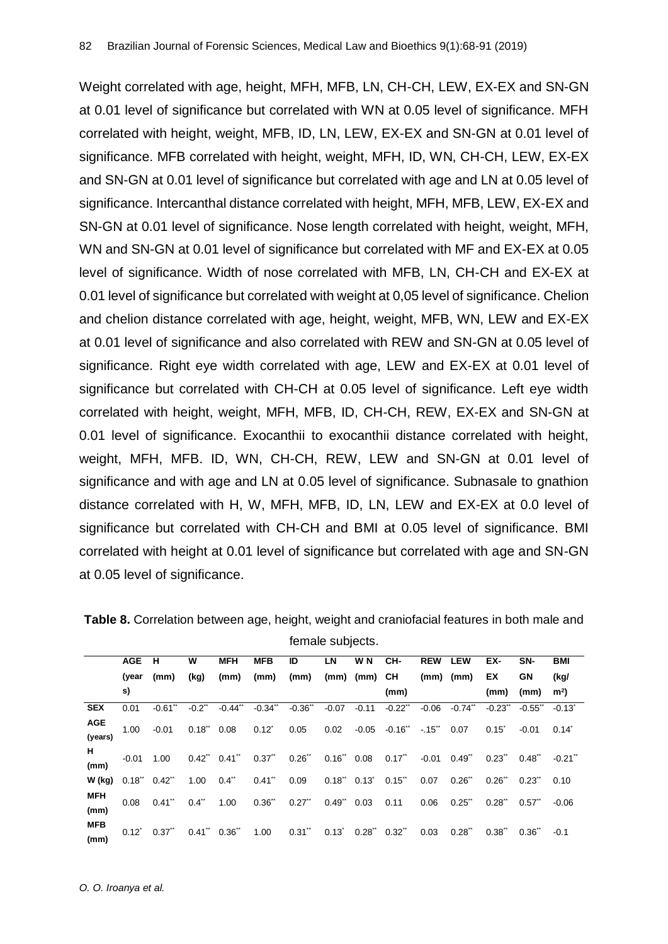Weight correlated with age, height, MFH, MFB, LN, CH-CH, LEW, EX-EX and SN-GN at 0.01 level of significance but correlated with WN at 0.05 level of significance. MFH correlated with height, weight, MFB, ID, LN, LEW, EX-EX and SN-GN at 0.01 level of significance. MFB correlated with height, weight, MFH, ID, WN, CH-CH, LEW, EX-EX and SN-GN at 0.01 level of significance but correlated with age and LN at 0.05 level of significance. Intercanthal distance correlated with height, MFH, MFB, LEW, EX-EX and SN-GN at 0.01 level of significance. Nose length correlated with height, weight, MFH, WN and SN-GN at 0.01 level of significance but correlated with MF and EX-EX at 0.05 level of significance. Width of nose correlated with MFB, LN, CH-CH and EX-EX at 0.01 level of significance but correlated with weight at 0,05 level of significance. Chelion and chelion distance correlated with age, height, weight, MFB, WN, LEW and EX-EX at 0.01 level of significance and also correlated with REW and SN-GN at 0.05 level of significance. Right eye width correlated with age, LEW and EX-EX at 0.01 level of significance but correlated with CH-CH at 0.05 level of significance. Left eye width correlated with height, weight, MFH, MFB, ID, CH-CH, REW, EX-EX and SN-GN at 0.01 level of significance. Exocanthii to exocanthii distance correlated with height, weight, MFH, MFB. ID, WN, CH-CH, REW, LEW and SN-GN at 0.01 level of significance and with age and LN at 0.05 level of significance. Subnasale to gnathion distance correlated with H, W, MFH, MFB, ID, LN, LEW and EX-EX at 0.0 level of significance but correlated with CH-CH and BMI at 0.05 level of significance. BMI correlated with height at 0.01 level of significance but correlated with age and SN-GN at 0.05 level of significance.

|                       | <b>AGE</b> | - H                   | W    | <b>MFH</b>             | <b>MFB</b> | ID                                                                                                                                                                                                                                  | LN | W N                | CH-  | <b>REW</b> | <b>LEW</b>                      | EX-              | SN-                         | <b>BMI</b>     |
|-----------------------|------------|-----------------------|------|------------------------|------------|-------------------------------------------------------------------------------------------------------------------------------------------------------------------------------------------------------------------------------------|----|--------------------|------|------------|---------------------------------|------------------|-----------------------------|----------------|
|                       | (year      | (mm)                  | (kg) | (mm)                   | (mm)       | (mm)                                                                                                                                                                                                                                |    | $(mm)$ $(mm)$ $CH$ |      |            | $(mm)$ $(mm)$                   | EX.              | GN                          | (kg/           |
|                       | s)         |                       |      |                        |            |                                                                                                                                                                                                                                     |    |                    | (mm) |            |                                 | (mm)             | (mm)                        | m <sup>2</sup> |
| <b>SEX</b>            | 0.01       | $-0.61$ <sup>**</sup> |      | $-0.2$ $-0.44$ $-0.34$ |            | $-0.34$ $-0.36$ $-0.07$ $-0.11$                                                                                                                                                                                                     |    |                    |      |            | $-0.22$ $-0.06$ $-0.74$ $-0.74$ |                  | $-0.23$ $-0.55$ $-0.13$     |                |
| <b>AGE</b><br>(years) |            |                       |      |                        |            | 1.00 -0.01 0.18" 0.08 0.12" 0.05 0.02 -0.05 -0.16" -.15" 0.07                                                                                                                                                                       |    |                    |      |            |                                 | $0.15^{\degree}$ | $-0.01$ $0.14$ <sup>*</sup> |                |
| н.<br>(mm)            |            |                       |      |                        |            | $-0.01$ $1.00$ $0.42$ " $0.41$ " $0.37$ " $0.26$ " $0.16$ " $0.08$ $0.17$ " $-0.01$ $0.49$ " $0.23$ " $0.48$ "                                                                                                                      |    |                    |      |            |                                 |                  |                             | $-0.21$        |
| $W$ (kg)              |            | $0.18$ " $0.42$ "     |      |                        |            | $1.00$ $0.4$ " $0.41$ " $0.09$ $0.18$ " $0.13$ " $0.15$ " $0.07$ $0.26$ " $0.26$ " $0.23$ " $0.10$                                                                                                                                  |    |                    |      |            |                                 |                  |                             |                |
| <b>MFH</b><br>(mm)    |            |                       |      |                        |            | $0.08 \quad 0.41^{\circ} \quad 0.4^{\circ} \quad 1.00 \quad 0.36^{\circ} \quad 0.27^{\circ} \quad 0.49^{\circ} \quad 0.03 \quad 0.11 \quad 0.06 \quad 0.25^{\circ} \quad 0.28^{\circ} \quad 0.57^{\circ}$                           |    |                    |      |            |                                 |                  |                             | $-0.06$        |
| <b>MFB</b><br>(mm)    |            |                       |      |                        |            | $0.12^{\circ} \quad 0.37^{\circ} \quad 0.41^{\circ} \quad 0.36^{\circ} \quad 1.00 \qquad 0.31^{\circ} \quad 0.13^{\circ} \quad 0.28^{\circ} \quad 0.32^{\circ} \quad 0.03 \quad 0.28^{\circ} \quad 0.38^{\circ} \quad 0.36^{\circ}$ |    |                    |      |            |                                 |                  |                             | $-0.1$         |

**Table 8.** Correlation between age, height, weight and craniofacial features in both male and female subjects.

*O. O. Iroanya et al.*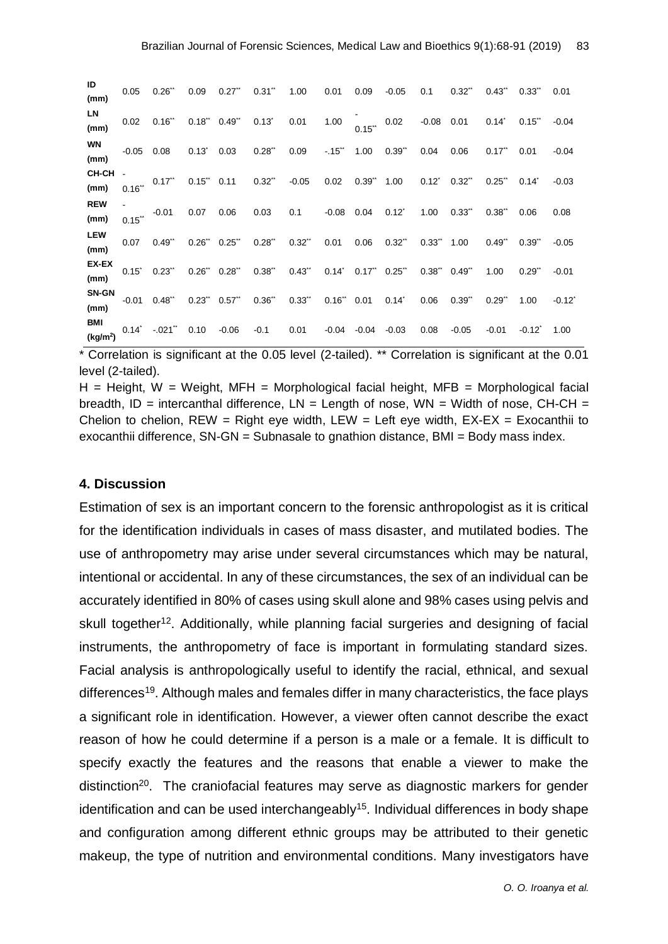| ID<br>(mm)                         |                  | $0.05$ $0.26$ " $0.09$ $0.27$ " $0.31$ " $1.00$ $0.01$ |          |                         |        |                                                                              |         | 0.09            | $-0.05$                                  | 0.1  | $0.32$ <sup>**</sup> | 0.43                | $0.33$ "             | 0.01              |
|------------------------------------|------------------|--------------------------------------------------------|----------|-------------------------|--------|------------------------------------------------------------------------------|---------|-----------------|------------------------------------------|------|----------------------|---------------------|----------------------|-------------------|
| LN<br>(mm)                         | 0.02             | 0.16                                                   |          | $0.18"$ $0.49"$ $0.13"$ |        | 0.01                                                                         | 1.00    |                 | $0.15$ " $0.02$ -0.08 0.01 0.14"         |      |                      |                     | $0.15$ **            | $-0.04$           |
| <b>WN</b><br>(mm)                  | $-0.05$          | 0.08                                                   | $0.13^*$ | 0.03                    | 0.28   | 0.09                                                                         |         | $-.15$ $*$ 1.00 | 0.39"                                    | 0.04 | 0.06                 | 0.17                | 0.01                 | $-0.04$           |
| <b>CH-CH</b><br>(mm)               | $0.16$ **        |                                                        |          |                         |        | $0.17$ $0.15$ $0.11$ $0.32$ $0.05$ $0.02$ $0.39$ $1.00$ $0.12$ $0.32$ $0.32$ |         |                 |                                          |      |                      | 0.25                | $0.14^{\degree}$     | $-0.03$           |
| <b>REW</b><br>(mm)                 | $0.15$ "         | $-0.01$ 0.07                                           |          | 0.06                    | 0.03   | $0.1$ $-0.08$ $0.04$                                                         |         |                 | $0.12^*$                                 | 1.00 | $0.33$ "             | $0.38^{n}$          | 0.06                 | 0.08              |
| <b>LEW</b><br>(mm)                 | 0.07             | $0.49$ .                                               |          | $0.26$ " $0.25$ "       |        | $0.28$ " $0.32$ " $0.01$                                                     |         |                 | $0.06$ $0.32$ " $0.33$ " $1.00$ $0.49$ " |      |                      |                     | $0.39$ <sup>**</sup> | $-0.05$           |
| <b>EX-EX</b><br>(mm)               | $0.15^{\degree}$ | $0.23$ "                                               |          | $0.26$ " $0.28$ "       |        | $0.38$ " $0.43$ " $0.14$ " $0.17$ " $0.25$ " $0.38$ " $0.49$ "               |         |                 |                                          |      |                      | 1.00                | $0.29$ <sup>**</sup> | $-0.01$           |
| <b>SN-GN</b><br>(mm)               | $-0.01$          | 0.48"                                                  |          |                         |        | $0.23$ " $0.57$ " $0.36$ " $0.33$ " $0.16$ " $0.01$ $0.14$ "                 |         |                 |                                          | 0.06 | 0.39                 | $0.29$ <sup>"</sup> | 1.00                 | $-0.12^{\degree}$ |
| <b>BMI</b><br>(kg/m <sup>2</sup> ) |                  | $0.14^{\circ}$ -.021 <sup>*</sup> 0.10                 |          | $-0.06$                 | $-0.1$ | 0.01                                                                         | $-0.04$ | -0.04           | $-0.03$                                  | 0.08 | $-0.05$              | $-0.01$             | $-0.12$              | 1.00              |

\* Correlation is significant at the 0.05 level (2-tailed). \*\* Correlation is significant at the 0.01 level (2-tailed).

 $H =$  Height, W = Weight, MFH = Morphological facial height, MFB = Morphological facial breadth, ID = intercanthal difference,  $LN =$  Length of nose,  $WN =$  Width of nose,  $CH-CH =$ Chelion to chelion,  $REW = Right$  eye width,  $LEW = Left$  eye width,  $EX-EX = Exocanthii$  to exocanthii difference, SN-GN = Subnasale to gnathion distance, BMI = Body mass index.

#### **4. Discussion**

Estimation of sex is an important concern to the forensic anthropologist as it is critical for the identification individuals in cases of mass disaster, and mutilated bodies. The use of anthropometry may arise under several circumstances which may be natural, intentional or accidental. In any of these circumstances, the sex of an individual can be accurately identified in 80% of cases using skull alone and 98% cases using pelvis and skull together<sup>12</sup>. Additionally, while planning facial surgeries and designing of facial instruments, the anthropometry of face is important in formulating standard sizes. Facial analysis is anthropologically useful to identify the racial, ethnical, and sexual differences<sup>19</sup>. Although males and females differ in many characteristics, the face plays a significant role in identification. However, a viewer often cannot describe the exact reason of how he could determine if a person is a male or a female. It is difficult to specify exactly the features and the reasons that enable a viewer to make the distinction<sup>20</sup>. The craniofacial features may serve as diagnostic markers for gender identification and can be used interchangeably<sup>15</sup>. Individual differences in body shape and configuration among different ethnic groups may be attributed to their genetic makeup, the type of nutrition and environmental conditions. Many investigators have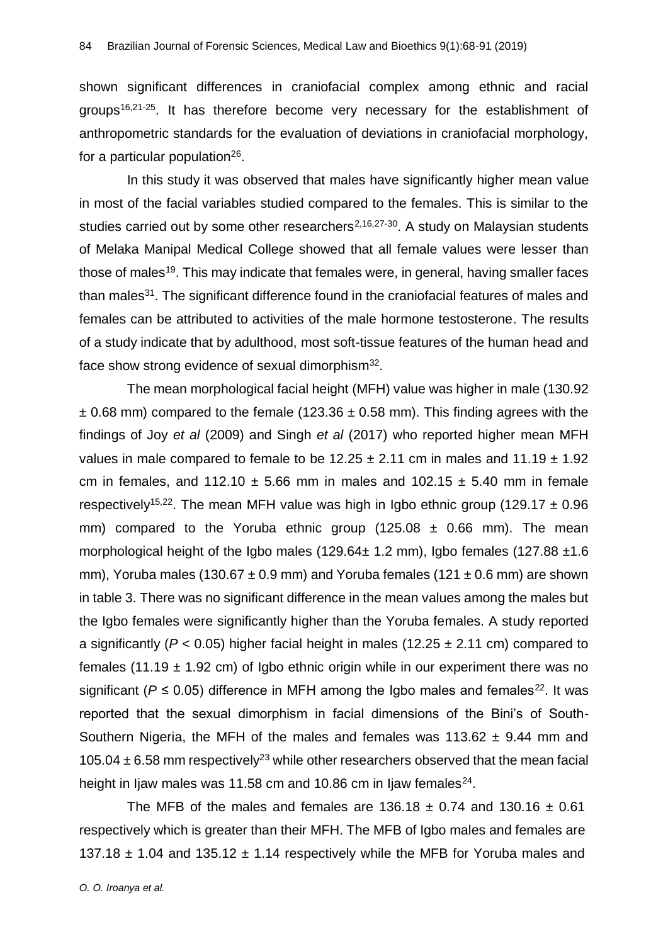shown significant differences in craniofacial complex among ethnic and racial groups<sup>16,21-25</sup>. It has therefore become very necessary for the establishment of anthropometric standards for the evaluation of deviations in craniofacial morphology, for a particular population<sup>26</sup>.

In this study it was observed that males have significantly higher mean value in most of the facial variables studied compared to the females. This is similar to the studies carried out by some other researchers<sup>2,16,27-30</sup>. A study on Malaysian students of Melaka Manipal Medical College showed that all female values were lesser than those of males<sup>19</sup>. This may indicate that females were, in general, having smaller faces than males<sup>31</sup>. The significant difference found in the craniofacial features of males and females can be attributed to activities of the male hormone testosterone. The results of a study indicate that by adulthood, most soft-tissue features of the human head and face show strong evidence of sexual dimorphism $32$ .

The mean morphological facial height (MFH) value was higher in male (130.92  $\pm$  0.68 mm) compared to the female (123.36  $\pm$  0.58 mm). This finding agrees with the findings of Joy *et al* (2009) and Singh *et al* (2017) who reported higher mean MFH values in male compared to female to be  $12.25 \pm 2.11$  cm in males and  $11.19 \pm 1.92$ cm in females, and 112.10  $\pm$  5.66 mm in males and 102.15  $\pm$  5.40 mm in female respectively<sup>15,22</sup>. The mean MFH value was high in Igbo ethnic group (129.17  $\pm$  0.96 mm) compared to the Yoruba ethnic group  $(125.08 \pm 0.66$  mm). The mean morphological height of the Igbo males (129.64 $\pm$  1.2 mm), Igbo females (127.88  $\pm$ 1.6 mm), Yoruba males (130.67  $\pm$  0.9 mm) and Yoruba females (121  $\pm$  0.6 mm) are shown in table 3. There was no significant difference in the mean values among the males but the Igbo females were significantly higher than the Yoruba females. A study reported a significantly ( $P < 0.05$ ) higher facial height in males (12.25  $\pm$  2.11 cm) compared to females (11.19  $\pm$  1.92 cm) of Igbo ethnic origin while in our experiment there was no significant ( $P \le 0.05$ ) difference in MFH among the Igbo males and females<sup>22</sup>. It was reported that the sexual dimorphism in facial dimensions of the Bini's of South-Southern Nigeria, the MFH of the males and females was  $113.62 \pm 9.44$  mm and 105.04  $\pm$  6.58 mm respectively<sup>23</sup> while other researchers observed that the mean facial height in Ijaw males was 11.58 cm and 10.86 cm in Ijaw females<sup>24</sup>.

The MFB of the males and females are  $136.18 \pm 0.74$  and  $130.16 \pm 0.61$ respectively which is greater than their MFH. The MFB of Igbo males and females are 137.18  $\pm$  1.04 and 135.12  $\pm$  1.14 respectively while the MFB for Yoruba males and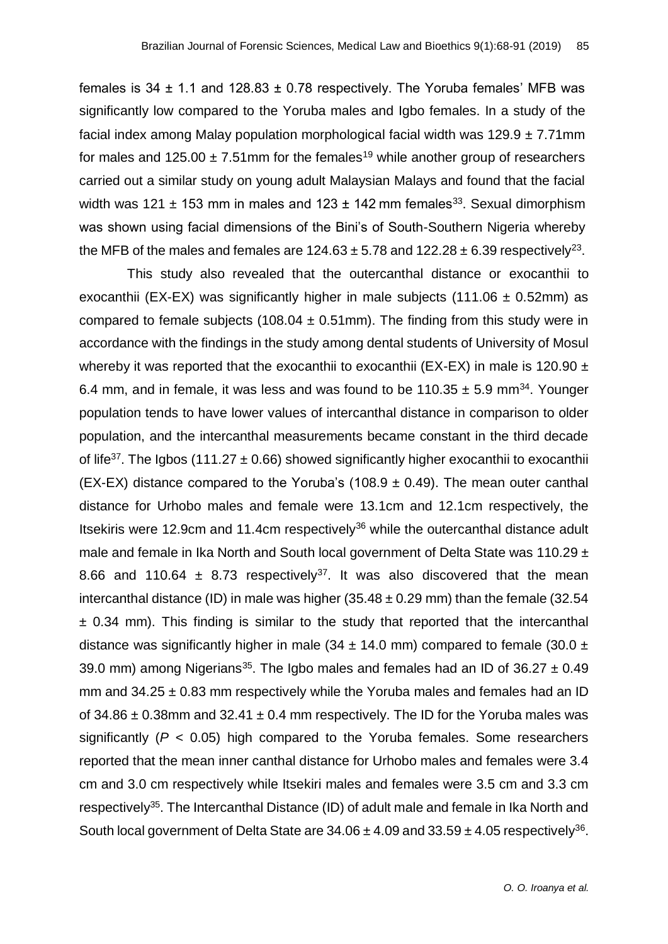females is 34  $\pm$  1.1 and 128.83  $\pm$  0.78 respectively. The Yoruba females' MFB was significantly low compared to the Yoruba males and Igbo females. In a study of the facial index among Malay population morphological facial width was  $129.9 \pm 7.71$ mm for males and 125.00  $\pm$  7.51mm for the females<sup>19</sup> while another group of researchers carried out a similar study on young adult Malaysian Malays and found that the facial width was 121  $\pm$  153 mm in males and 123  $\pm$  142 mm females<sup>33</sup>. Sexual dimorphism was shown using facial dimensions of the Bini's of South-Southern Nigeria whereby the MFB of the males and females are 124.63  $\pm$  5.78 and 122.28  $\pm$  6.39 respectively<sup>23</sup>.

This study also revealed that the outercanthal distance or exocanthii to exocanthii (EX-EX) was significantly higher in male subjects (111.06  $\pm$  0.52mm) as compared to female subjects (108.04  $\pm$  0.51mm). The finding from this study were in accordance with the findings in the study among dental students of University of Mosul whereby it was reported that the exocanthii to exocanthii (EX-EX) in male is 120.90  $\pm$ 6.4 mm, and in female, it was less and was found to be 110.35  $\pm$  5.9 mm<sup>34</sup>. Younger population tends to have lower values of intercanthal distance in comparison to older population, and the intercanthal measurements became constant in the third decade of life<sup>37</sup>. The Igbos (111.27  $\pm$  0.66) showed significantly higher exocanthii to exocanthii (EX-EX) distance compared to the Yoruba's (108.9  $\pm$  0.49). The mean outer canthal distance for Urhobo males and female were 13.1cm and 12.1cm respectively, the Itsekiris were 12.9cm and 11.4cm respectively<sup>36</sup> while the outercanthal distance adult male and female in Ika North and South local government of Delta State was 110.29 ± 8.66 and 110.64  $\pm$  8.73 respectively<sup>37</sup>. It was also discovered that the mean intercanthal distance (ID) in male was higher  $(35.48 \pm 0.29 \text{ mm})$  than the female  $(32.54 \text{ m})$  $\pm$  0.34 mm). This finding is similar to the study that reported that the intercanthal distance was significantly higher in male (34  $\pm$  14.0 mm) compared to female (30.0  $\pm$ 39.0 mm) among Nigerians<sup>35</sup>. The Igbo males and females had an ID of  $36.27 \pm 0.49$ mm and  $34.25 \pm 0.83$  mm respectively while the Yoruba males and females had an ID of  $34.86 \pm 0.38$  mm and  $32.41 \pm 0.4$  mm respectively. The ID for the Yoruba males was significantly (*P* < 0.05) high compared to the Yoruba females. Some researchers reported that the mean inner canthal distance for Urhobo males and females were 3.4 cm and 3.0 cm respectively while Itsekiri males and females were 3.5 cm and 3.3 cm respectively<sup>35</sup>. The Intercanthal Distance (ID) of adult male and female in Ika North and South local government of Delta State are  $34.06 \pm 4.09$  and  $33.59 \pm 4.05$  respectively<sup>36</sup>.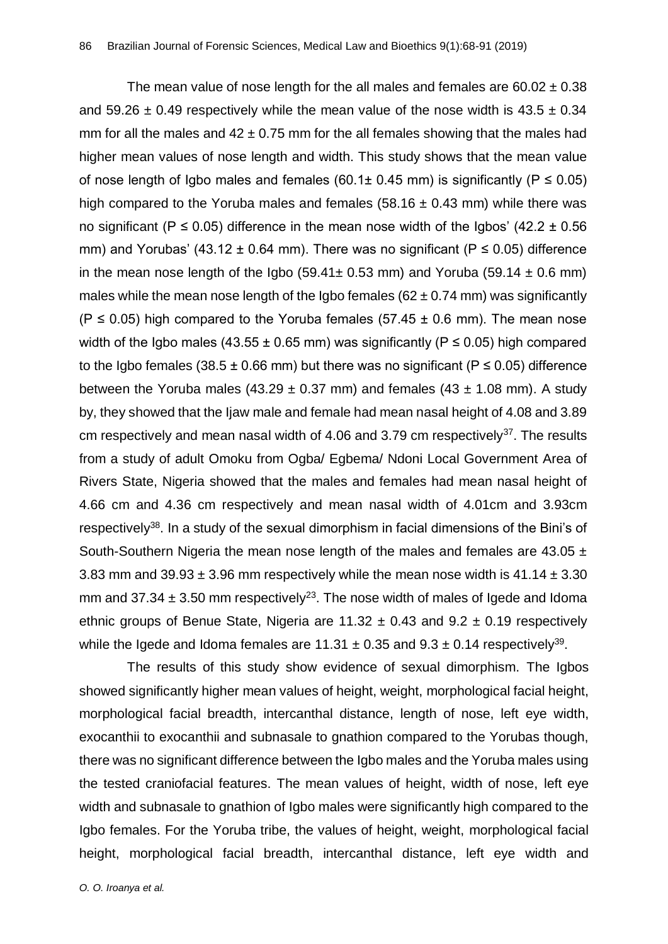The mean value of nose length for the all males and females are  $60.02 \pm 0.38$ and 59.26  $\pm$  0.49 respectively while the mean value of the nose width is 43.5  $\pm$  0.34 mm for all the males and  $42 \pm 0.75$  mm for the all females showing that the males had higher mean values of nose length and width. This study shows that the mean value of nose length of Igbo males and females (60.1± 0.45 mm) is significantly ( $P \le 0.05$ ) high compared to the Yoruba males and females  $(58.16 \pm 0.43 \text{ mm})$  while there was no significant (P  $\leq$  0.05) difference in the mean nose width of the Igbos' (42.2  $\pm$  0.56 mm) and Yorubas' (43.12  $\pm$  0.64 mm). There was no significant (P  $\leq$  0.05) difference in the mean nose length of the Igbo (59.41 $\pm$  0.53 mm) and Yoruba (59.14  $\pm$  0.6 mm) males while the mean nose length of the Igbo females ( $62 \pm 0.74$  mm) was significantly (P  $\leq$  0.05) high compared to the Yoruba females (57.45  $\pm$  0.6 mm). The mean nose width of the Igbo males (43.55  $\pm$  0.65 mm) was significantly (P  $\leq$  0.05) high compared to the Igbo females (38.5  $\pm$  0.66 mm) but there was no significant (P  $\leq$  0.05) difference between the Yoruba males (43.29  $\pm$  0.37 mm) and females (43  $\pm$  1.08 mm). A study by, they showed that the Ijaw male and female had mean nasal height of 4.08 and 3.89 cm respectively and mean nasal width of  $4.06$  and  $3.79$  cm respectively<sup>37</sup>. The results from a study of adult Omoku from Ogba/ Egbema/ Ndoni Local Government Area of Rivers State, Nigeria showed that the males and females had mean nasal height of 4.66 cm and 4.36 cm respectively and mean nasal width of 4.01cm and 3.93cm respectively<sup>38</sup>. In a study of the sexual dimorphism in facial dimensions of the Bini's of South-Southern Nigeria the mean nose length of the males and females are 43.05 ± 3.83 mm and  $39.93 \pm 3.96$  mm respectively while the mean nose width is  $41.14 \pm 3.30$ mm and 37.34  $\pm$  3.50 mm respectively<sup>23</sup>. The nose width of males of Igede and Idoma ethnic groups of Benue State, Nigeria are 11.32  $\pm$  0.43 and 9.2  $\pm$  0.19 respectively while the Igede and Idoma females are 11.31  $\pm$  0.35 and 9.3  $\pm$  0.14 respectively<sup>39</sup>.

The results of this study show evidence of sexual dimorphism. The Igbos showed significantly higher mean values of height, weight, morphological facial height, morphological facial breadth, intercanthal distance, length of nose, left eye width, exocanthii to exocanthii and subnasale to gnathion compared to the Yorubas though, there was no significant difference between the Igbo males and the Yoruba males using the tested craniofacial features. The mean values of height, width of nose, left eye width and subnasale to gnathion of Igbo males were significantly high compared to the Igbo females. For the Yoruba tribe, the values of height, weight, morphological facial height, morphological facial breadth, intercanthal distance, left eye width and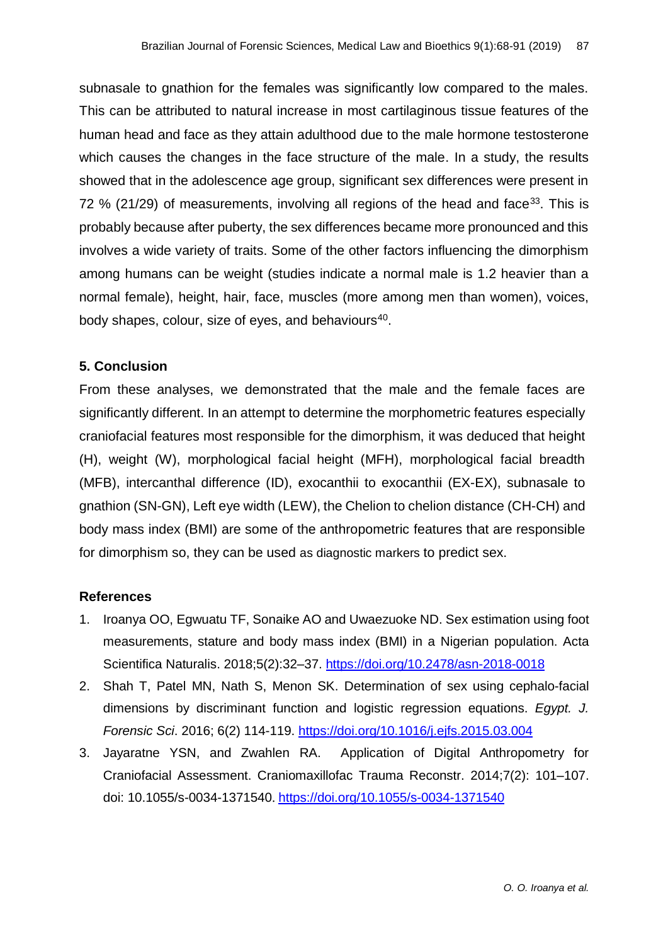subnasale to gnathion for the females was significantly low compared to the males. This can be attributed to natural increase in most cartilaginous tissue features of the human head and face as they attain adulthood due to the male hormone testosterone which causes the changes in the face structure of the male. In a study, the results showed that in the adolescence age group, significant sex differences were present in 72 % (21/29) of measurements, involving all regions of the head and face<sup>33</sup>. This is probably because after puberty, the sex differences became more pronounced and this involves a wide variety of traits. Some of the other factors influencing the dimorphism among humans can be weight (studies indicate a normal male is 1.2 heavier than a normal female), height, hair, face, muscles (more among men than women), voices, body shapes, colour, size of eyes, and behaviours<sup>40</sup>.

#### **5. Conclusion**

From these analyses, we demonstrated that the male and the female faces are significantly different. In an attempt to determine the morphometric features especially craniofacial features most responsible for the dimorphism, it was deduced that height (H), weight (W), morphological facial height (MFH), morphological facial breadth (MFB), intercanthal difference (ID), exocanthii to exocanthii (EX-EX), subnasale to gnathion (SN-GN), Left eye width (LEW), the Chelion to chelion distance (CH-CH) and body mass index (BMI) are some of the anthropometric features that are responsible for dimorphism so, they can be used as diagnostic markers to predict sex.

#### **References**

- 1. Iroanya OO, Egwuatu TF, Sonaike AO and Uwaezuoke ND. Sex estimation using foot measurements, stature and body mass index (BMI) in a Nigerian population. Acta Scientifica Naturalis. 2018;5(2):32–37. <https://doi.org/10.2478/asn-2018-0018>
- 2. Shah T, Patel [MN,](https://www.sciencedirect.com/science/article/pii/S2090536X15000271#!) Nath S, Menon [SK.](https://www.sciencedirect.com/science/article/pii/S2090536X15000271#!) Determination of sex using cephalo-facial dimensions by discriminant function and logistic regression equations. *Egypt. J. Forensic Sci*. 2016; 6(2) 114-119. <https://doi.org/10.1016/j.ejfs.2015.03.004>
- 3. Jayaratne YSN, and Zwahlen RA. Application of Digital Anthropometry for Craniofacial Assessment. Craniomaxillofac Trauma Reconstr. 2014;7(2): 101–107. doi: 10.1055/s-0034-1371540. <https://doi.org/10.1055/s-0034-1371540>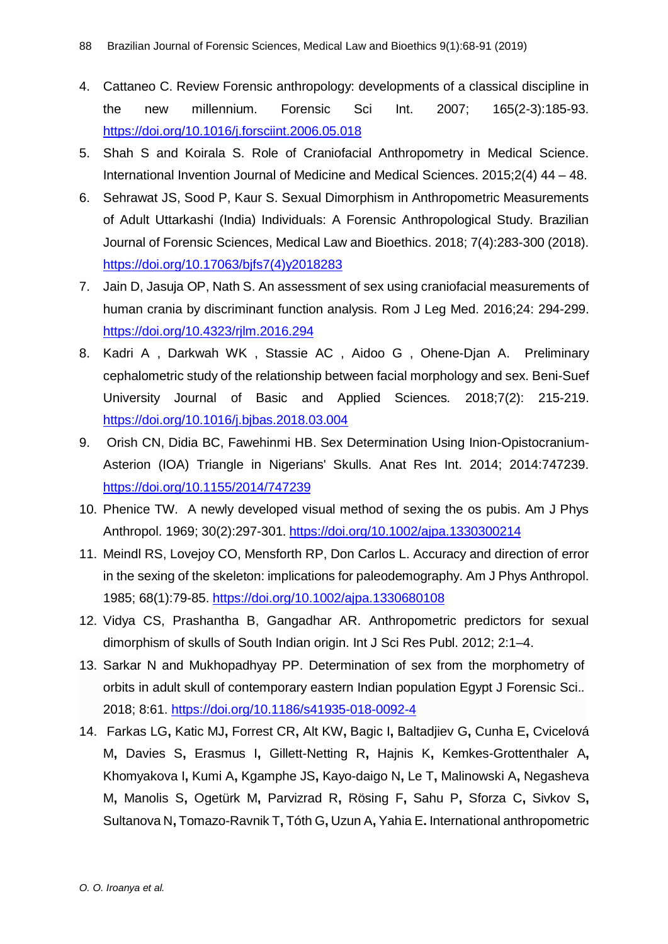- 4. Cattaneo C. Review Forensic anthropology: developments of a classical discipline in the new millennium. Forensic Sci Int. 2007; 165(2-3):185-93. <https://doi.org/10.1016/j.forsciint.2006.05.018>
- 5. Shah S and Koirala S. Role of Craniofacial Anthropometry in Medical Science. International Invention Journal of Medicine and Medical Sciences. 2015;2(4) 44 – 48.
- 6. Sehrawat JS, Sood P, Kaur S. Sexual Dimorphism in Anthropometric Measurements of Adult Uttarkashi (India) Individuals: A Forensic Anthropological Study. Brazilian Journal of Forensic Sciences, Medical Law and Bioethics. 2018; 7(4):283-300 (2018). [https://doi.org/10.17063/bjfs7\(4\)y2018283](https://doi.org/10.17063/bjfs7(4)y2018283)
- 7. Jain D, Jasuja OP, Nath S. An assessment of sex using craniofacial measurements of human crania by discriminant function analysis. Rom J Leg Med. 2016;24: 294-299. <https://doi.org/10.4323/rjlm.2016.294>
- 8. Kadri [A ,](https://www.sciencedirect.com/science/article/pii/S231485351730447X#!) Darkwah [WK ,](https://www.sciencedirect.com/science/article/pii/S231485351730447X#!) Stassie [AC ,](https://www.sciencedirect.com/science/article/pii/S231485351730447X#!) Aidoo [G ,](https://www.sciencedirect.com/science/article/pii/S231485351730447X#!) Ohene-Djan A. Preliminary cephalometric study of the relationship between facial morphology and sex. Beni-Suef University Journal of Basic and Applied Sciences*.* 2018;7(2): 215-219. <https://doi.org/10.1016/j.bjbas.2018.03.004>
- 9. Orish CN, Didia BC, Fawehinmi HB. Sex Determination Using Inion-Opistocranium-Asterion (IOA) Triangle in Nigerians' Skulls. Anat Res Int. 2014; 2014:747239. <https://doi.org/10.1155/2014/747239>
- 10. Phenice TW*.* A newly developed visual method of sexing the os pubis. Am J Phys Anthropol. 1969; 30(2):297-301. <https://doi.org/10.1002/ajpa.1330300214>
- 11. Meindl RS, Lovejoy CO, Mensforth RP, Don Carlos L. Accuracy and direction of error in the sexing of the skeleton: implications for paleodemography. Am J Phys Anthropol. 1985; 68(1):79-85. <https://doi.org/10.1002/ajpa.1330680108>
- 12. Vidya CS, Prashantha B, Gangadhar AR. Anthropometric predictors for sexual dimorphism of skulls of South Indian origin. Int J Sci Res Publ. 2012; 2:1–4.
- 13. Sarkar N and Mukhopadhyay PP. Determination of sex from the morphometry of orbits in adult skull of contemporary eastern Indian population Egypt J Forensic Sci.*.*  2018; 8:61.<https://doi.org/10.1186/s41935-018-0092-4>
- 14. Farkas LG**,** Katic MJ**,** Forrest CR**,** Alt KW**,** Bagic I**,** Baltadjiev G**,** Cunha E**,** Cvicelová M**,** Davies S**,** Erasmus I**,** Gillett-Netting R**,** Hajnis K**,** Kemkes-Grottenthaler A**,**  Khomyakova I**,** Kumi A**,** Kgamphe JS**,** Kayo-daigo N**,** Le T**,** Malinowski A**,** Negasheva M**,** Manolis S**,** Ogetürk M**,** Parvizrad R**,** Rösing F**,** Sahu P**,** Sforza C**,** Sivkov S**,**  Sultanova N**,** Tomazo-Ravnik T**,** Tóth G**,** Uzun A**,** Yahia E**.** International anthropometric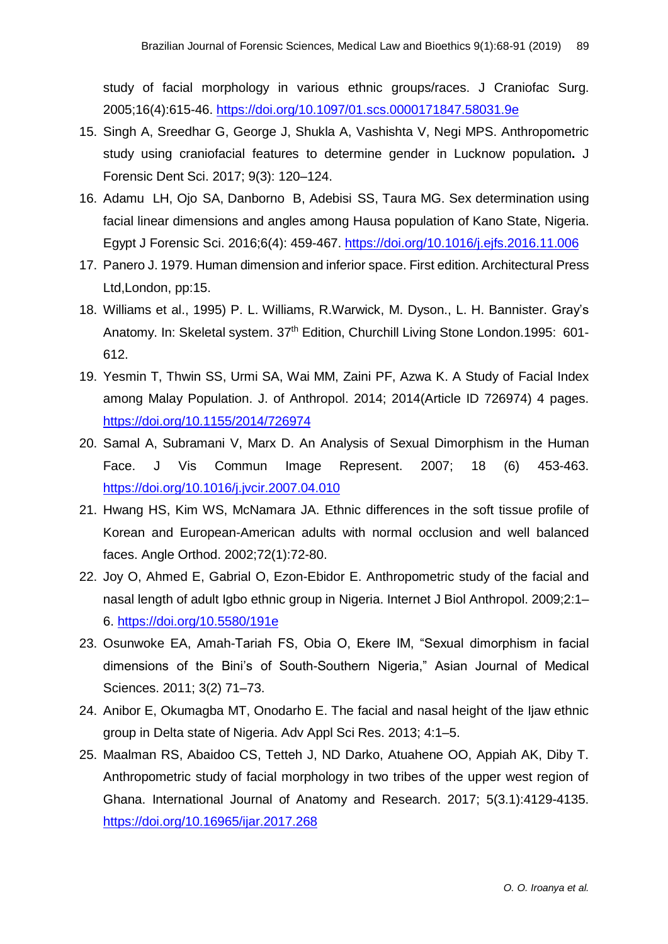study of facial morphology in various ethnic groups/races. J Craniofac Surg. 2005;16(4):615-46. <https://doi.org/10.1097/01.scs.0000171847.58031.9e>

- 15. Singh A, Sreedhar G, George J, Shukla A, Vashishta V, Negi MPS. Anthropometric study using craniofacial features to determine gender in Lucknow population**.** J Forensic Dent Sci. 2017; 9(3): 120–124.
- 16. Adamu LH, Ojo SA, Danborno B, Adebisi SS, Taura MG. Sex determination using facial linear dimensions and angles among Hausa population of Kano State, Nigeria. Egypt J Forensic Sci. 2016;6(4): 459-467. <https://doi.org/10.1016/j.ejfs.2016.11.006>
- 17. Panero J. 1979. Human dimension and inferior space. First edition. Architectural Press Ltd,London, pp:15.
- 18. Williams et al., 1995) P. L. Williams, R.Warwick, M. Dyson., L. H. Bannister. Gray's Anatomy. In: Skeletal system. 37<sup>th</sup> Edition, Churchill Living Stone London.1995: 601-612.
- 19. Yesmin T, Thwin SS, Urmi SA, Wai MM, Zaini PF, Azwa K. A Study of Facial Index among Malay Population. J. of Anthropol. 2014; 2014(Article ID 726974) 4 pages. <https://doi.org/10.1155/2014/726974>
- 20. Samal A, Subramani V, Marx D. An Analysis of Sexual Dimorphism in the Human Face. J Vis Commun Image Represent. 2007; 18 (6) 453-463. <https://doi.org/10.1016/j.jvcir.2007.04.010>
- 21. Hwang HS, Kim WS, McNamara JA. Ethnic differences in the soft tissue profile of Korean and European-American adults with normal occlusion and well balanced faces. Angle Orthod. 2002;72(1):72-80.
- 22. Joy O, Ahmed E, Gabrial O, Ezon-Ebidor E. Anthropometric study of the facial and nasal length of adult Igbo ethnic group in Nigeria. Internet J Biol Anthropol. 2009;2:1– 6. <https://doi.org/10.5580/191e>
- 23. Osunwoke EA, Amah-Tariah FS, Obia O, Ekere IM, "Sexual dimorphism in facial dimensions of the Bini's of South-Southern Nigeria," Asian Journal of Medical Sciences. 2011; 3(2) 71–73.
- 24. Anibor E, Okumagba MT, Onodarho E. The facial and nasal height of the Ijaw ethnic group in Delta state of Nigeria. Adv Appl Sci Res. 2013; 4:1–5.
- 25. Maalman RS, Abaidoo CS, Tetteh J, ND Darko, Atuahene OO, Appiah AK, Diby T. Anthropometric study of facial morphology in two tribes of the upper west region of Ghana. International Journal of Anatomy and Research. 2017; 5(3.1):4129-4135. <https://doi.org/10.16965/ijar.2017.268>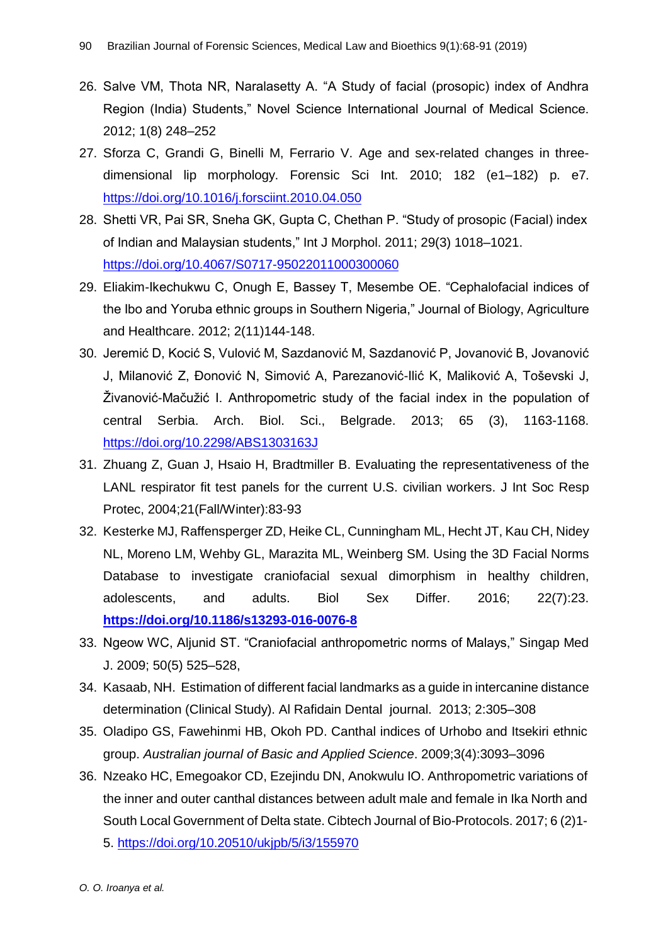- 26. Salve VM, Thota NR, Naralasetty A. "A Study of facial (prosopic) index of Andhra Region (India) Students," Novel Science International Journal of Medical Science. 2012; 1(8) 248–252
- 27. Sforza C, Grandi G, Binelli M, Ferrario V. Age and sex-related changes in threedimensional lip morphology. Forensic Sci Int. 2010; 182 (e1–182) p. e7. <https://doi.org/10.1016/j.forsciint.2010.04.050>
- 28. Shetti VR, Pai SR, Sneha GK, Gupta C, Chethan P. "Study of prosopic (Facial) index of Indian and Malaysian students," Int J Morphol. 2011; 29(3) 1018–1021. <https://doi.org/10.4067/S0717-95022011000300060>
- 29. Eliakim-Ikechukwu C, Onugh E, Bassey T, Mesembe OE. "Cephalofacial indices of the Ibo and Yoruba ethnic groups in Southern Nigeria," Journal of Biology, Agriculture and Healthcare. 2012; 2(11)144-148.
- 30. Jeremić D, Kocić S, Vulović M, Sazdanović M, Sazdanović P, Jovanović B, Jovanović J, Milanović Z, Đonović N, Simović A, Parezanović-Ilić K, Maliković A, Toševski J, Živanović-Mačužić I. Anthropometric study of the facial index in the population of central Serbia. Arch. Biol. Sci., Belgrade. 2013; 65 (3), 1163-1168. <https://doi.org/10.2298/ABS1303163J>
- 31. Zhuang Z, Guan J, Hsaio H, Bradtmiller B. Evaluating the representativeness of the LANL respirator fit test panels for the current U.S. civilian workers. J Int Soc Resp Protec, 2004;21(Fall/Winter):83-93
- 32. Kesterke MJ, Raffensperger ZD, Heike CL, Cunningham ML, Hecht JT, Kau CH, Nidey NL, Moreno LM, Wehby GL, Marazita ML, Weinberg SM. Using the 3D Facial Norms Database to investigate craniofacial sexual dimorphism in healthy children, adolescents, and adults. Biol Sex Differ. 2016; 22(7):23. **<https://doi.org/10.1186/s13293-016-0076-8>**
- 33. Ngeow WC, Aljunid ST. "Craniofacial anthropometric norms of Malays," Singap Med J. 2009; 50(5) 525–528,
- 34. Kasaab, NH. Estimation of different facial landmarks as a guide in intercanine distance determination (Clinical Study). Al Rafidain Dental journal. 2013; 2:305–308
- 35. Oladipo GS, Fawehinmi HB, Okoh PD. Canthal indices of Urhobo and Itsekiri ethnic group. *Australian journal of Basic and Applied Science*. 2009;3(4):3093–3096
- 36. Nzeako HC, Emegoakor CD, Ezejindu DN, Anokwulu IO. Anthropometric variations of the inner and outer canthal distances between adult male and female in Ika North and South Local Government of Delta state. Cibtech Journal of Bio-Protocols. 2017; 6 (2)1- 5.<https://doi.org/10.20510/ukjpb/5/i3/155970>